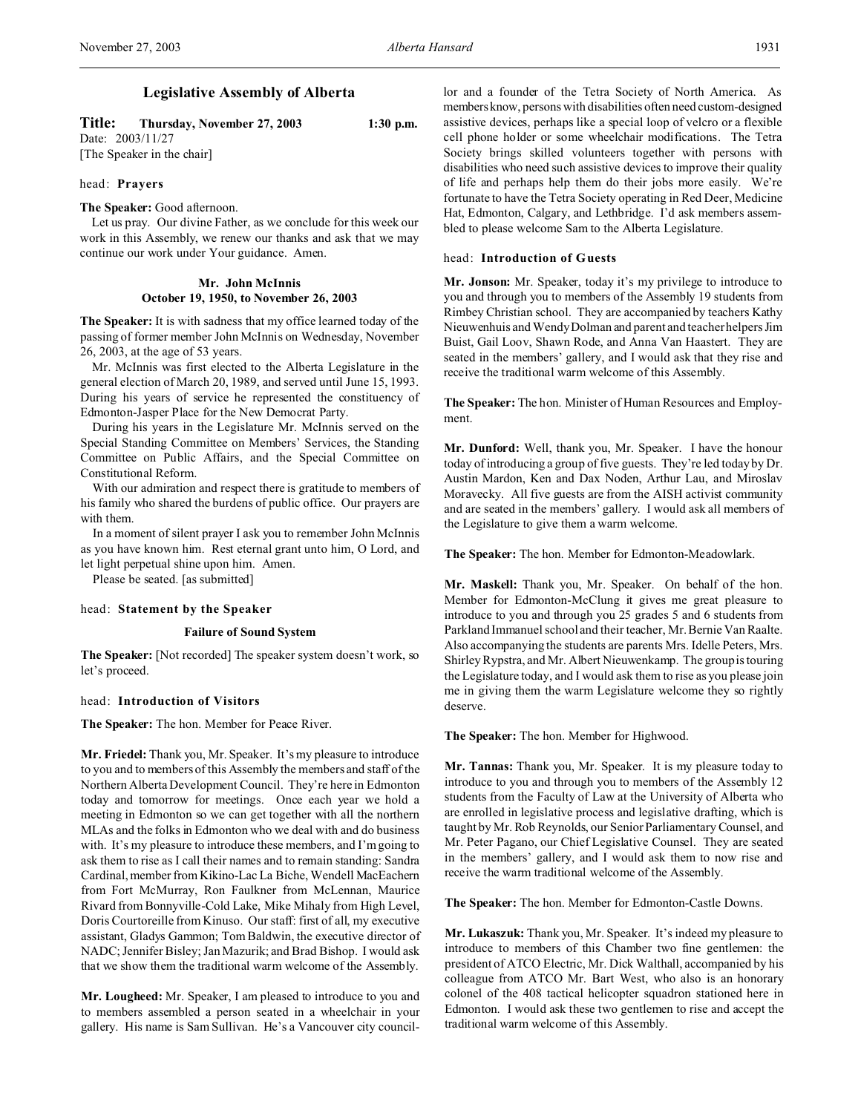# **Legislative Assembly of Alberta**

**Title: Thursday, November 27, 2003 1:30 p.m.** Date: 2003/11/27

[The Speaker in the chair]

# head: **Prayers**

# **The Speaker:** Good afternoon.

Let us pray. Our divine Father, as we conclude for this week our work in this Assembly, we renew our thanks and ask that we may continue our work under Your guidance. Amen.

# **Mr. John McInnis October 19, 1950, to November 26, 2003**

**The Speaker:** It is with sadness that my office learned today of the passing of former member John McInnis on Wednesday, November 26, 2003, at the age of 53 years.

Mr. McInnis was first elected to the Alberta Legislature in the general election of March 20, 1989, and served until June 15, 1993. During his years of service he represented the constituency of Edmonton-Jasper Place for the New Democrat Party.

During his years in the Legislature Mr. McInnis served on the Special Standing Committee on Members' Services, the Standing Committee on Public Affairs, and the Special Committee on Constitutional Reform.

With our admiration and respect there is gratitude to members of his family who shared the burdens of public office. Our prayers are with them.

In a moment of silent prayer I ask you to remember John McInnis as you have known him. Rest eternal grant unto him, O Lord, and let light perpetual shine upon him. Amen.

Please be seated. [as submitted]

# head: **Statement by the Speaker**

# **Failure of Sound System**

**The Speaker:** [Not recorded] The speaker system doesn't work, so let's proceed.

# head: **Introduction of Visitors**

**The Speaker:** The hon. Member for Peace River.

**Mr. Friedel:** Thank you, Mr. Speaker. It's my pleasure to introduce to you and to members of this Assembly the members and staff of the Northern Alberta Development Council. They're here in Edmonton today and tomorrow for meetings. Once each year we hold a meeting in Edmonton so we can get together with all the northern MLAs and the folks in Edmonton who we deal with and do business with. It's my pleasure to introduce these members, and I'm going to ask them to rise as I call their names and to remain standing: Sandra Cardinal, member from Kikino-Lac La Biche, Wendell MacEachern from Fort McMurray, Ron Faulkner from McLennan, Maurice Rivard from Bonnyville-Cold Lake, Mike Mihaly from High Level, Doris Courtoreille from Kinuso. Our staff: first of all, my executive assistant, Gladys Gammon; Tom Baldwin, the executive director of NADC; Jennifer Bisley; Jan Mazurik; and Brad Bishop. I would ask that we show them the traditional warm welcome of the Assembly.

**Mr. Lougheed:** Mr. Speaker, I am pleased to introduce to you and to members assembled a person seated in a wheelchair in your gallery. His name is Sam Sullivan. He's a Vancouver city councillor and a founder of the Tetra Society of North America. As membersknow, persons with disabilities often need custom-designed assistive devices, perhaps like a special loop of velcro or a flexible cell phone holder or some wheelchair modifications. The Tetra Society brings skilled volunteers together with persons with disabilities who need such assistive devices to improve their quality of life and perhaps help them do their jobs more easily. We're fortunate to have the Tetra Society operating in Red Deer, Medicine Hat, Edmonton, Calgary, and Lethbridge. I'd ask members assembled to please welcome Sam to the Alberta Legislature.

#### head: **Introduction of Guests**

**Mr. Jonson:** Mr. Speaker, today it's my privilege to introduce to you and through you to members of the Assembly 19 students from Rimbey Christian school. They are accompanied by teachers Kathy Nieuwenhuis and Wendy Dolman and parent and teacher helpers Jim Buist, Gail Loov, Shawn Rode, and Anna Van Haastert. They are seated in the members' gallery, and I would ask that they rise and receive the traditional warm welcome of this Assembly.

**The Speaker:** The hon. Minister of Human Resources and Employment.

**Mr. Dunford:** Well, thank you, Mr. Speaker. I have the honour today of introducing a group of five guests. They're led today by Dr. Austin Mardon, Ken and Dax Noden, Arthur Lau, and Miroslav Moravecky. All five guests are from the AISH activist community and are seated in the members' gallery. I would ask all members of the Legislature to give them a warm welcome.

**The Speaker:** The hon. Member for Edmonton-Meadowlark.

**Mr. Maskell:** Thank you, Mr. Speaker. On behalf of the hon. Member for Edmonton-McClung it gives me great pleasure to introduce to you and through you 25 grades 5 and 6 students from Parkland Immanuel school and their teacher, Mr. Bernie Van Raalte. Also accompanying the students are parents Mrs. Idelle Peters, Mrs. Shirley Rypstra, and Mr. Albert Nieuwenkamp. The group is touring the Legislature today, and I would ask them to rise as you please join me in giving them the warm Legislature welcome they so rightly deserve.

**The Speaker:** The hon. Member for Highwood.

**Mr. Tannas:** Thank you, Mr. Speaker. It is my pleasure today to introduce to you and through you to members of the Assembly 12 students from the Faculty of Law at the University of Alberta who are enrolled in legislative process and legislative drafting, which is taught by Mr. Rob Reynolds, our Senior Parliamentary Counsel, and Mr. Peter Pagano, our Chief Legislative Counsel. They are seated in the members' gallery, and I would ask them to now rise and receive the warm traditional welcome of the Assembly.

**The Speaker:** The hon. Member for Edmonton-Castle Downs.

**Mr. Lukaszuk:** Thank you, Mr. Speaker. It's indeed my pleasure to introduce to members of this Chamber two fine gentlemen: the president of ATCO Electric, Mr. Dick Walthall, accompanied by his colleague from ATCO Mr. Bart West, who also is an honorary colonel of the 408 tactical helicopter squadron stationed here in Edmonton. I would ask these two gentlemen to rise and accept the traditional warm welcome of this Assembly.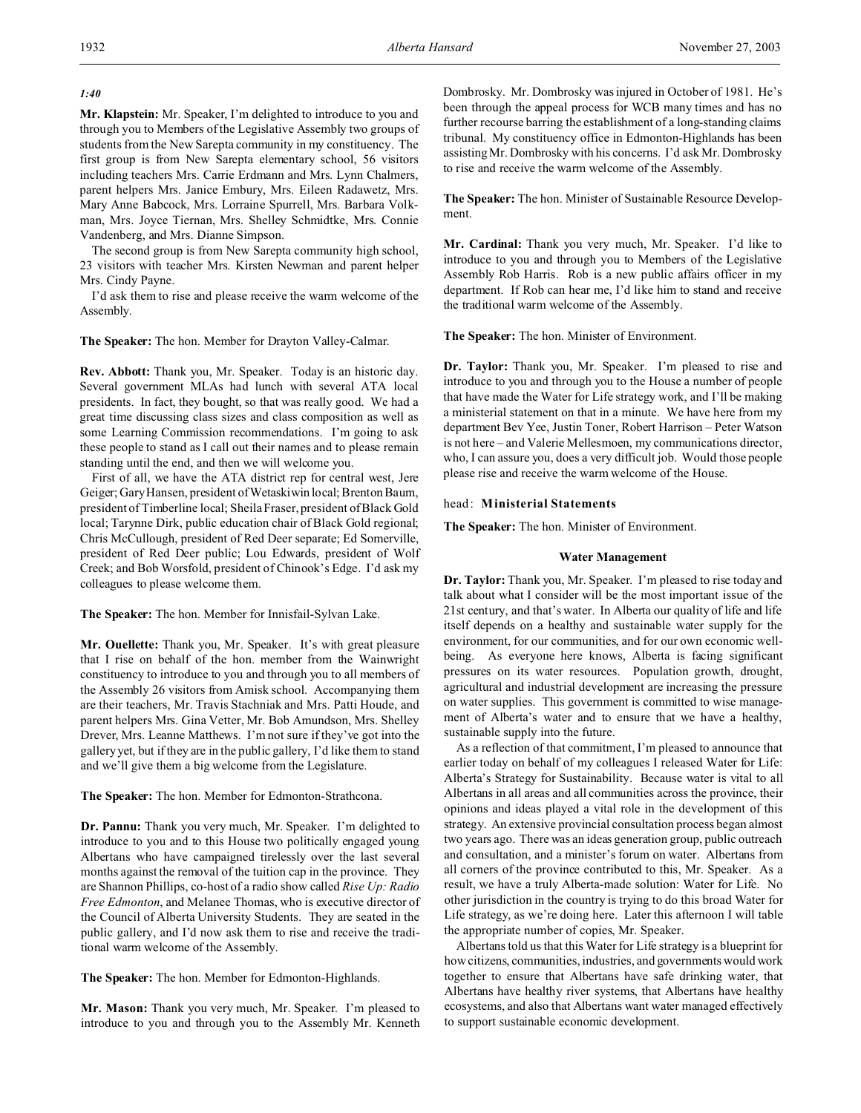*1:40*

**Mr. Klapstein:** Mr. Speaker, I'm delighted to introduce to you and through you to Members of the Legislative Assembly two groups of students from the New Sarepta community in my constituency. The first group is from New Sarepta elementary school, 56 visitors including teachers Mrs. Carrie Erdmann and Mrs. Lynn Chalmers, parent helpers Mrs. Janice Embury, Mrs. Eileen Radawetz, Mrs. Mary Anne Babcock, Mrs. Lorraine Spurrell, Mrs. Barbara Volkman, Mrs. Joyce Tiernan, Mrs. Shelley Schmidtke, Mrs. Connie Vandenberg, and Mrs. Dianne Simpson.

The second group is from New Sarepta community high school, 23 visitors with teacher Mrs. Kirsten Newman and parent helper Mrs. Cindy Payne.

I'd ask them to rise and please receive the warm welcome of the Assembly.

**The Speaker:** The hon. Member for Drayton Valley-Calmar.

**Rev. Abbott:** Thank you, Mr. Speaker. Today is an historic day. Several government MLAs had lunch with several ATA local presidents. In fact, they bought, so that was really good. We had a great time discussing class sizes and class composition as well as some Learning Commission recommendations. I'm going to ask these people to stand as I call out their names and to please remain standing until the end, and then we will welcome you.

First of all, we have the ATA district rep for central west, Jere Geiger; Gary Hansen, president of Wetaskiwin local; Brenton Baum, president of Timberline local; Sheila Fraser, president of Black Gold local; Tarynne Dirk, public education chair of Black Gold regional; Chris McCullough, president of Red Deer separate; Ed Somerville, president of Red Deer public; Lou Edwards, president of Wolf Creek; and Bob Worsfold, president of Chinook's Edge. I'd ask my colleagues to please welcome them.

**The Speaker:** The hon. Member for Innisfail-Sylvan Lake.

**Mr. Ouellette:** Thank you, Mr. Speaker. It's with great pleasure that I rise on behalf of the hon. member from the Wainwright constituency to introduce to you and through you to all members of the Assembly 26 visitors from Amisk school. Accompanying them are their teachers, Mr. Travis Stachniak and Mrs. Patti Houde, and parent helpers Mrs. Gina Vetter, Mr. Bob Amundson, Mrs. Shelley Drever, Mrs. Leanne Matthews. I'm not sure if they've got into the gallery yet, but if they are in the public gallery, I'd like them to stand and we'll give them a big welcome from the Legislature.

**The Speaker:** The hon. Member for Edmonton-Strathcona.

**Dr. Pannu:** Thank you very much, Mr. Speaker. I'm delighted to introduce to you and to this House two politically engaged young Albertans who have campaigned tirelessly over the last several months against the removal of the tuition cap in the province. They are Shannon Phillips, co-host of a radio show called *Rise Up: Radio Free Edmonton*, and Melanee Thomas, who is executive director of the Council of Alberta University Students. They are seated in the public gallery, and I'd now ask them to rise and receive the traditional warm welcome of the Assembly.

**The Speaker:** The hon. Member for Edmonton-Highlands.

**Mr. Mason:** Thank you very much, Mr. Speaker. I'm pleased to introduce to you and through you to the Assembly Mr. Kenneth Dombrosky. Mr. Dombrosky was injured in October of 1981. He's been through the appeal process for WCB many times and has no further recourse barring the establishment of a long-standing claims tribunal. My constituency office in Edmonton-Highlands has been assisting Mr. Dombrosky with his concerns. I'd ask Mr. Dombrosky to rise and receive the warm welcome of the Assembly.

**The Speaker:** The hon. Minister of Sustainable Resource Development.

**Mr. Cardinal:** Thank you very much, Mr. Speaker. I'd like to introduce to you and through you to Members of the Legislative Assembly Rob Harris. Rob is a new public affairs officer in my department. If Rob can hear me, I'd like him to stand and receive the traditional warm welcome of the Assembly.

**The Speaker:** The hon. Minister of Environment.

**Dr. Taylor:** Thank you, Mr. Speaker. I'm pleased to rise and introduce to you and through you to the House a number of people that have made the Water for Life strategy work, and I'll be making a ministerial statement on that in a minute. We have here from my department Bev Yee, Justin Toner, Robert Harrison – Peter Watson is not here – and Valerie Mellesmoen, my communications director, who, I can assure you, does a very difficult job. Would those people please rise and receive the warm welcome of the House.

# head: **Ministerial Statements**

**The Speaker:** The hon. Minister of Environment.

## **Water Management**

**Dr. Taylor:** Thank you, Mr. Speaker. I'm pleased to rise today and talk about what I consider will be the most important issue of the 21st century, and that's water. In Alberta our quality of life and life itself depends on a healthy and sustainable water supply for the environment, for our communities, and for our own economic wellbeing. As everyone here knows, Alberta is facing significant pressures on its water resources. Population growth, drought, agricultural and industrial development are increasing the pressure on water supplies. This government is committed to wise management of Alberta's water and to ensure that we have a healthy, sustainable supply into the future.

As a reflection of that commitment, I'm pleased to announce that earlier today on behalf of my colleagues I released Water for Life: Alberta's Strategy for Sustainability. Because water is vital to all Albertans in all areas and all communities across the province, their opinions and ideas played a vital role in the development of this strategy. An extensive provincial consultation process began almost two years ago. There was an ideas generation group, public outreach and consultation, and a minister's forum on water. Albertans from all corners of the province contributed to this, Mr. Speaker. As a result, we have a truly Alberta-made solution: Water for Life. No other jurisdiction in the country is trying to do this broad Water for Life strategy, as we're doing here. Later this afternoon I will table the appropriate number of copies, Mr. Speaker.

Albertans told us that this Water for Life strategy is a blueprint for how citizens, communities, industries, and governments would work together to ensure that Albertans have safe drinking water, that Albertans have healthy river systems, that Albertans have healthy ecosystems, and also that Albertans want water managed effectively to support sustainable economic development.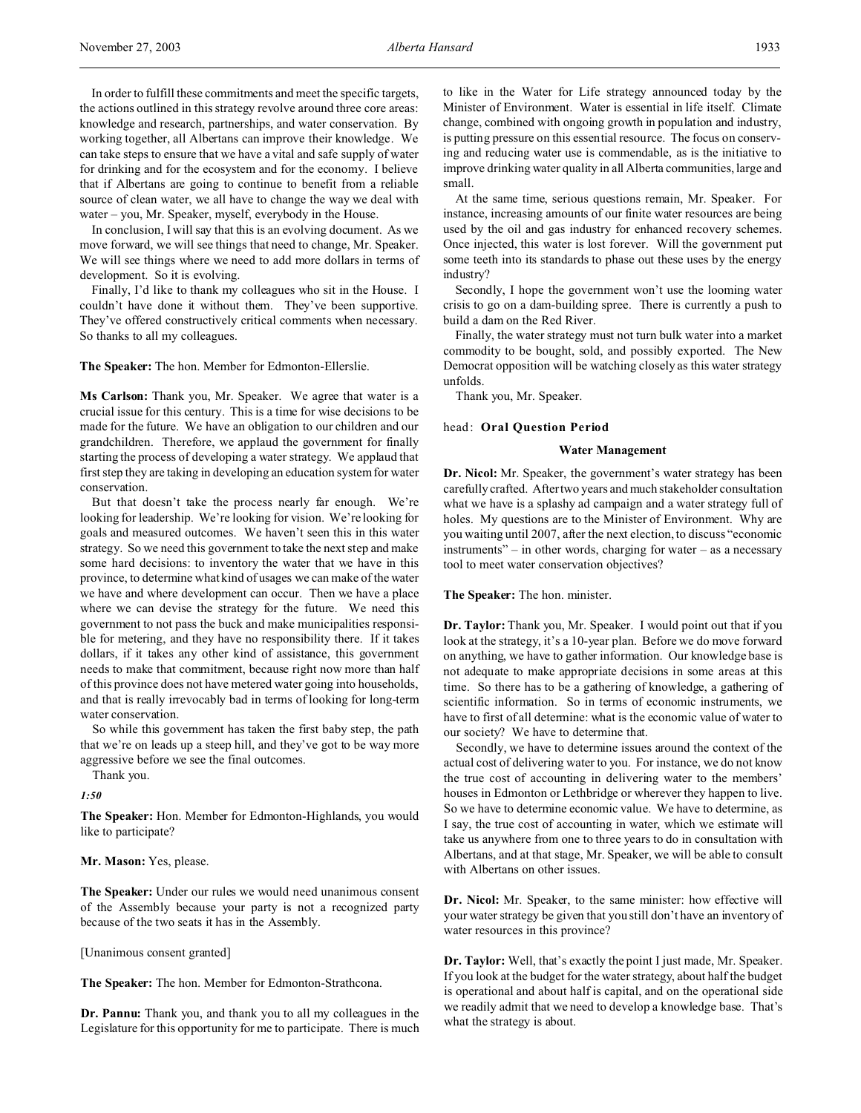In order to fulfill these commitments and meet the specific targets, the actions outlined in this strategy revolve around three core areas: knowledge and research, partnerships, and water conservation. By working together, all Albertans can improve their knowledge. We can take steps to ensure that we have a vital and safe supply of water for drinking and for the ecosystem and for the economy. I believe that if Albertans are going to continue to benefit from a reliable source of clean water, we all have to change the way we deal with water – you, Mr. Speaker, myself, everybody in the House.

In conclusion, I will say that this is an evolving document. As we move forward, we will see things that need to change, Mr. Speaker. We will see things where we need to add more dollars in terms of development. So it is evolving.

Finally, I'd like to thank my colleagues who sit in the House. I couldn't have done it without them. They've been supportive. They've offered constructively critical comments when necessary. So thanks to all my colleagues.

**The Speaker:** The hon. Member for Edmonton-Ellerslie.

**Ms Carlson:** Thank you, Mr. Speaker. We agree that water is a crucial issue for this century. This is a time for wise decisions to be made for the future. We have an obligation to our children and our grandchildren. Therefore, we applaud the government for finally starting the process of developing a water strategy. We applaud that first step they are taking in developing an education system for water conservation.

But that doesn't take the process nearly far enough. We're looking for leadership. We're looking for vision. We're looking for goals and measured outcomes. We haven't seen this in this water strategy. So we need this government to take the next step and make some hard decisions: to inventory the water that we have in this province, to determine what kind of usages we can make of the water we have and where development can occur. Then we have a place where we can devise the strategy for the future. We need this government to not pass the buck and make municipalities responsible for metering, and they have no responsibility there. If it takes dollars, if it takes any other kind of assistance, this government needs to make that commitment, because right now more than half of this province does not have metered water going into households, and that is really irrevocably bad in terms of looking for long-term water conservation.

So while this government has taken the first baby step, the path that we're on leads up a steep hill, and they've got to be way more aggressive before we see the final outcomes.

Thank you.

*1:50*

**The Speaker:** Hon. Member for Edmonton-Highlands, you would like to participate?

**Mr. Mason:** Yes, please.

**The Speaker:** Under our rules we would need unanimous consent of the Assembly because your party is not a recognized party because of the two seats it has in the Assembly.

[Unanimous consent granted]

**The Speaker:** The hon. Member for Edmonton-Strathcona.

**Dr. Pannu:** Thank you, and thank you to all my colleagues in the Legislature for this opportunity for me to participate. There is much to like in the Water for Life strategy announced today by the Minister of Environment. Water is essential in life itself. Climate change, combined with ongoing growth in population and industry, is putting pressure on this essential resource. The focus on conserving and reducing water use is commendable, as is the initiative to improve drinking water quality in all Alberta communities, large and small.

At the same time, serious questions remain, Mr. Speaker. For instance, increasing amounts of our finite water resources are being used by the oil and gas industry for enhanced recovery schemes. Once injected, this water is lost forever. Will the government put some teeth into its standards to phase out these uses by the energy industry?

Secondly, I hope the government won't use the looming water crisis to go on a dam-building spree. There is currently a push to build a dam on the Red River.

Finally, the water strategy must not turn bulk water into a market commodity to be bought, sold, and possibly exported. The New Democrat opposition will be watching closely as this water strategy unfolds.

Thank you, Mr. Speaker.

#### head: **Oral Question Period**

#### **Water Management**

**Dr. Nicol:** Mr. Speaker, the government's water strategy has been carefully crafted. After two years and much stakeholder consultation what we have is a splashy ad campaign and a water strategy full of holes. My questions are to the Minister of Environment. Why are you waiting until 2007, after the next election, to discuss "economic instruments" – in other words, charging for water – as a necessary tool to meet water conservation objectives?

#### **The Speaker:** The hon. minister.

**Dr. Taylor:** Thank you, Mr. Speaker. I would point out that if you look at the strategy, it's a 10-year plan. Before we do move forward on anything, we have to gather information. Our knowledge base is not adequate to make appropriate decisions in some areas at this time. So there has to be a gathering of knowledge, a gathering of scientific information. So in terms of economic instruments, we have to first of all determine: what is the economic value of water to our society? We have to determine that.

Secondly, we have to determine issues around the context of the actual cost of delivering water to you. For instance, we do not know the true cost of accounting in delivering water to the members' houses in Edmonton or Lethbridge or wherever they happen to live. So we have to determine economic value. We have to determine, as I say, the true cost of accounting in water, which we estimate will take us anywhere from one to three years to do in consultation with Albertans, and at that stage, Mr. Speaker, we will be able to consult with Albertans on other issues.

**Dr. Nicol:** Mr. Speaker, to the same minister: how effective will your water strategy be given that you still don't have an inventory of water resources in this province?

**Dr. Taylor:** Well, that's exactly the point I just made, Mr. Speaker. If you look at the budget for the water strategy, about half the budget is operational and about half is capital, and on the operational side we readily admit that we need to develop a knowledge base. That's what the strategy is about.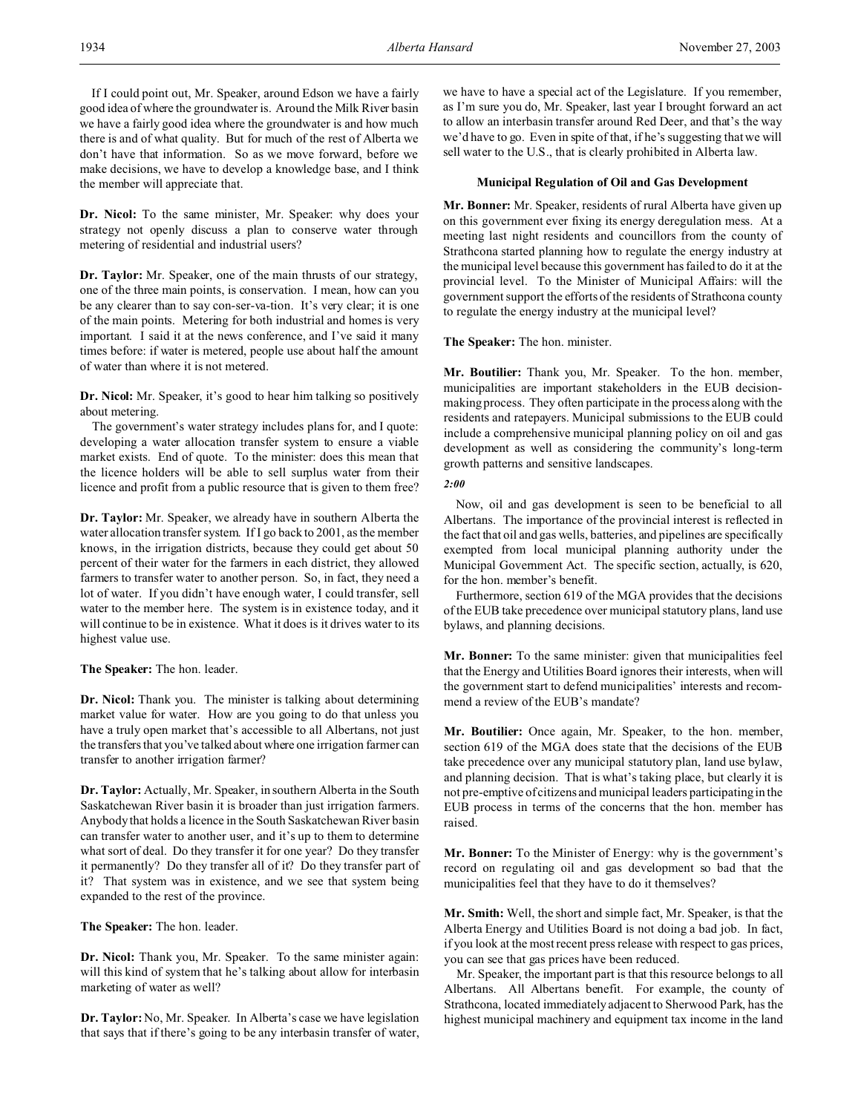**Dr. Nicol:** To the same minister, Mr. Speaker: why does your strategy not openly discuss a plan to conserve water through metering of residential and industrial users?

**Dr. Taylor:** Mr. Speaker, one of the main thrusts of our strategy, one of the three main points, is conservation. I mean, how can you be any clearer than to say con-ser-va-tion. It's very clear; it is one of the main points. Metering for both industrial and homes is very important. I said it at the news conference, and I've said it many times before: if water is metered, people use about half the amount of water than where it is not metered.

**Dr. Nicol:** Mr. Speaker, it's good to hear him talking so positively about metering.

The government's water strategy includes plans for, and I quote: developing a water allocation transfer system to ensure a viable market exists. End of quote. To the minister: does this mean that the licence holders will be able to sell surplus water from their licence and profit from a public resource that is given to them free?

**Dr. Taylor:** Mr. Speaker, we already have in southern Alberta the water allocation transfer system. If I go back to 2001, as the member knows, in the irrigation districts, because they could get about 50 percent of their water for the farmers in each district, they allowed farmers to transfer water to another person. So, in fact, they need a lot of water. If you didn't have enough water, I could transfer, sell water to the member here. The system is in existence today, and it will continue to be in existence. What it does is it drives water to its highest value use.

# **The Speaker:** The hon. leader.

**Dr. Nicol:** Thank you. The minister is talking about determining market value for water. How are you going to do that unless you have a truly open market that's accessible to all Albertans, not just the transfers that you've talked about where one irrigation farmer can transfer to another irrigation farmer?

**Dr. Taylor:** Actually, Mr. Speaker, in southern Alberta in the South Saskatchewan River basin it is broader than just irrigation farmers. Anybody that holds a licence in the South Saskatchewan River basin can transfer water to another user, and it's up to them to determine what sort of deal. Do they transfer it for one year? Do they transfer it permanently? Do they transfer all of it? Do they transfer part of it? That system was in existence, and we see that system being expanded to the rest of the province.

# **The Speaker:** The hon. leader.

**Dr. Nicol:** Thank you, Mr. Speaker. To the same minister again: will this kind of system that he's talking about allow for interbasin marketing of water as well?

**Dr. Taylor:** No, Mr. Speaker. In Alberta's case we have legislation that says that if there's going to be any interbasin transfer of water, we have to have a special act of the Legislature. If you remember, as I'm sure you do, Mr. Speaker, last year I brought forward an act to allow an interbasin transfer around Red Deer, and that's the way we'd have to go. Even in spite of that, if he's suggesting that we will sell water to the U.S., that is clearly prohibited in Alberta law.

#### **Municipal Regulation of Oil and Gas Development**

**Mr. Bonner:** Mr. Speaker, residents of rural Alberta have given up on this government ever fixing its energy deregulation mess. At a meeting last night residents and councillors from the county of Strathcona started planning how to regulate the energy industry at the municipal level because this government has failed to do it at the provincial level. To the Minister of Municipal Affairs: will the government support the efforts of the residents of Strathcona county to regulate the energy industry at the municipal level?

**The Speaker:** The hon. minister.

**Mr. Boutilier:** Thank you, Mr. Speaker. To the hon. member, municipalities are important stakeholders in the EUB decisionmaking process. They often participate in the process along with the residents and ratepayers. Municipal submissions to the EUB could include a comprehensive municipal planning policy on oil and gas development as well as considering the community's long-term growth patterns and sensitive landscapes.

# *2:00*

Now, oil and gas development is seen to be beneficial to all Albertans. The importance of the provincial interest is reflected in the fact that oil and gas wells, batteries, and pipelines are specifically exempted from local municipal planning authority under the Municipal Government Act. The specific section, actually, is 620, for the hon. member's benefit.

Furthermore, section 619 of the MGA provides that the decisions of the EUB take precedence over municipal statutory plans, land use bylaws, and planning decisions.

**Mr. Bonner:** To the same minister: given that municipalities feel that the Energy and Utilities Board ignores their interests, when will the government start to defend municipalities' interests and recommend a review of the EUB's mandate?

**Mr. Boutilier:** Once again, Mr. Speaker, to the hon. member, section 619 of the MGA does state that the decisions of the EUB take precedence over any municipal statutory plan, land use bylaw, and planning decision. That is what's taking place, but clearly it is not pre-emptive of citizens and municipal leaders participating in the EUB process in terms of the concerns that the hon. member has raised.

**Mr. Bonner:** To the Minister of Energy: why is the government's record on regulating oil and gas development so bad that the municipalities feel that they have to do it themselves?

**Mr. Smith:** Well, the short and simple fact, Mr. Speaker, is that the Alberta Energy and Utilities Board is not doing a bad job. In fact, if you look at the most recent press release with respect to gas prices, you can see that gas prices have been reduced.

Mr. Speaker, the important part is that this resource belongs to all Albertans. All Albertans benefit. For example, the county of Strathcona, located immediately adjacent to Sherwood Park, has the highest municipal machinery and equipment tax income in the land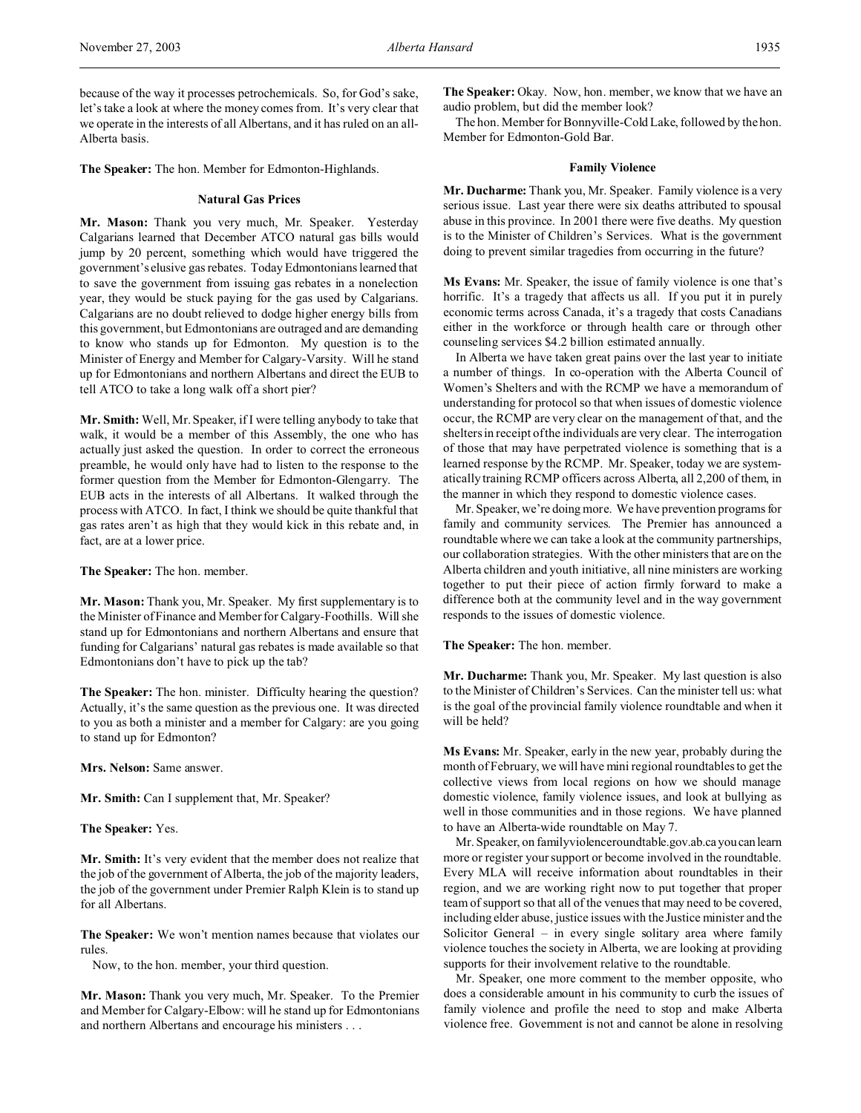because of the way it processes petrochemicals. So, for God's sake, let's take a look at where the money comes from. It's very clear that we operate in the interests of all Albertans, and it has ruled on an all-Alberta basis.

**The Speaker:** The hon. Member for Edmonton-Highlands.

#### **Natural Gas Prices**

**Mr. Mason:** Thank you very much, Mr. Speaker. Yesterday Calgarians learned that December ATCO natural gas bills would jump by 20 percent, something which would have triggered the government's elusive gas rebates. Today Edmontonians learned that to save the government from issuing gas rebates in a nonelection year, they would be stuck paying for the gas used by Calgarians. Calgarians are no doubt relieved to dodge higher energy bills from this government, but Edmontonians are outraged and are demanding to know who stands up for Edmonton. My question is to the Minister of Energy and Member for Calgary-Varsity. Will he stand up for Edmontonians and northern Albertans and direct the EUB to tell ATCO to take a long walk off a short pier?

**Mr. Smith:** Well, Mr. Speaker, if I were telling anybody to take that walk, it would be a member of this Assembly, the one who has actually just asked the question. In order to correct the erroneous preamble, he would only have had to listen to the response to the former question from the Member for Edmonton-Glengarry. The EUB acts in the interests of all Albertans. It walked through the process with ATCO. In fact, I think we should be quite thankful that gas rates aren't as high that they would kick in this rebate and, in fact, are at a lower price.

**The Speaker:** The hon. member.

**Mr. Mason:** Thank you, Mr. Speaker. My first supplementary is to the Minister of Finance and Member for Calgary-Foothills. Will she stand up for Edmontonians and northern Albertans and ensure that funding for Calgarians' natural gas rebates is made available so that Edmontonians don't have to pick up the tab?

**The Speaker:** The hon. minister. Difficulty hearing the question? Actually, it's the same question as the previous one. It was directed to you as both a minister and a member for Calgary: are you going to stand up for Edmonton?

**Mrs. Nelson:** Same answer.

**Mr. Smith:** Can I supplement that, Mr. Speaker?

**The Speaker:** Yes.

**Mr. Smith:** It's very evident that the member does not realize that the job of the government of Alberta, the job of the majority leaders, the job of the government under Premier Ralph Klein is to stand up for all Albertans.

**The Speaker:** We won't mention names because that violates our rules.

Now, to the hon. member, your third question.

**Mr. Mason:** Thank you very much, Mr. Speaker. To the Premier and Member for Calgary-Elbow: will he stand up for Edmontonians and northern Albertans and encourage his ministers . . .

**The Speaker:** Okay. Now, hon. member, we know that we have an audio problem, but did the member look?

The hon. Member for Bonnyville-Cold Lake, followed by the hon. Member for Edmonton-Gold Bar.

#### **Family Violence**

**Mr. Ducharme:** Thank you, Mr. Speaker. Family violence is a very serious issue. Last year there were six deaths attributed to spousal abuse in this province. In 2001 there were five deaths. My question is to the Minister of Children's Services. What is the government doing to prevent similar tragedies from occurring in the future?

**Ms Evans:** Mr. Speaker, the issue of family violence is one that's horrific. It's a tragedy that affects us all. If you put it in purely economic terms across Canada, it's a tragedy that costs Canadians either in the workforce or through health care or through other counseling services \$4.2 billion estimated annually.

In Alberta we have taken great pains over the last year to initiate a number of things. In co-operation with the Alberta Council of Women's Shelters and with the RCMP we have a memorandum of understanding for protocol so that when issues of domestic violence occur, the RCMP are very clear on the management of that, and the shelters in receipt of the individuals are very clear. The interrogation of those that may have perpetrated violence is something that is a learned response by the RCMP. Mr. Speaker, today we are systematically training RCMP officers across Alberta, all 2,200 of them, in the manner in which they respond to domestic violence cases.

Mr. Speaker, we're doing more. We have prevention programs for family and community services. The Premier has announced a roundtable where we can take a look at the community partnerships, our collaboration strategies. With the other ministers that are on the Alberta children and youth initiative, all nine ministers are working together to put their piece of action firmly forward to make a difference both at the community level and in the way government responds to the issues of domestic violence.

**The Speaker:** The hon. member.

**Mr. Ducharme:** Thank you, Mr. Speaker. My last question is also to the Minister of Children's Services. Can the minister tell us: what is the goal of the provincial family violence roundtable and when it will be held?

**Ms Evans:** Mr. Speaker, early in the new year, probably during the month of February, we will have mini regional roundtables to get the collective views from local regions on how we should manage domestic violence, family violence issues, and look at bullying as well in those communities and in those regions. We have planned to have an Alberta-wide roundtable on May 7.

Mr. Speaker, on familyviolenceroundtable.gov.ab.ca youcan learn more or register your support or become involved in the roundtable. Every MLA will receive information about roundtables in their region, and we are working right now to put together that proper team of support so that all of the venues that may need to be covered, including elder abuse, justice issues with the Justice minister and the Solicitor General – in every single solitary area where family violence touches the society in Alberta, we are looking at providing supports for their involvement relative to the roundtable.

Mr. Speaker, one more comment to the member opposite, who does a considerable amount in his community to curb the issues of family violence and profile the need to stop and make Alberta violence free. Government is not and cannot be alone in resolving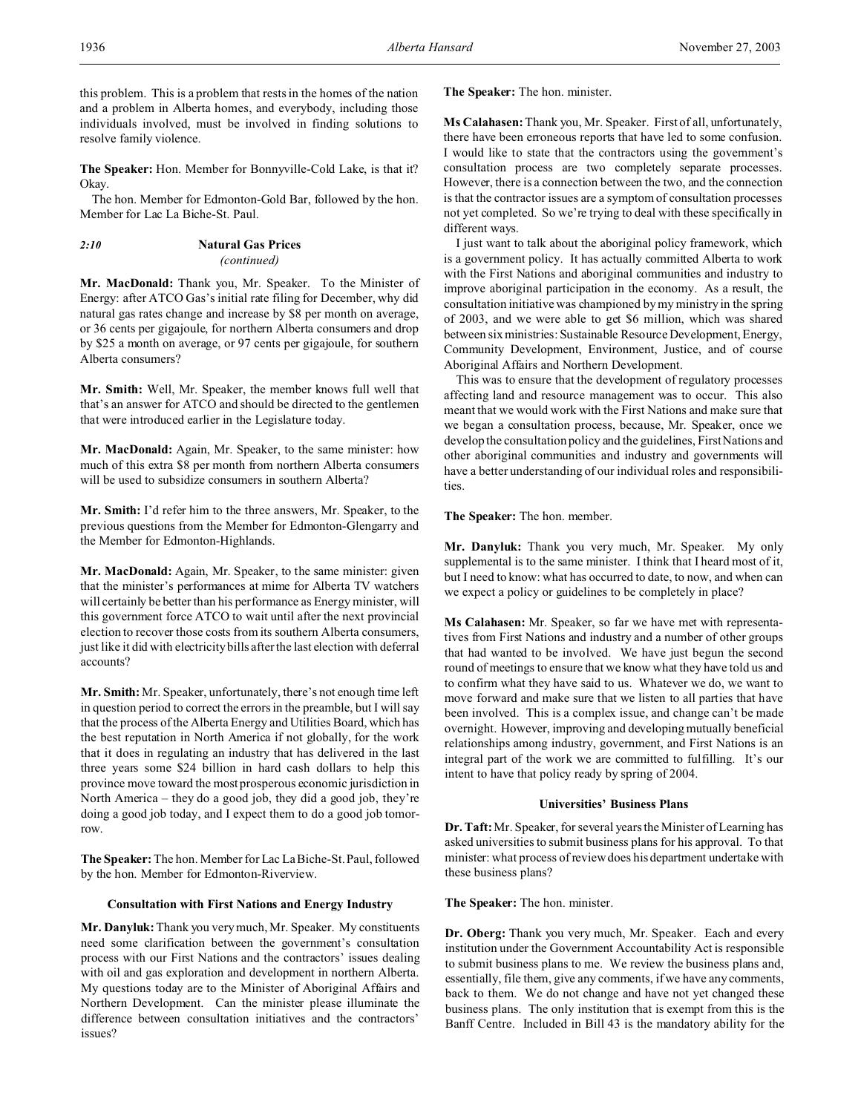**The Speaker:** Hon. Member for Bonnyville-Cold Lake, is that it? Okay.

The hon. Member for Edmonton-Gold Bar, followed by the hon. Member for Lac La Biche-St. Paul.

# *2:10* **Natural Gas Prices** *(continued)*

**Mr. MacDonald:** Thank you, Mr. Speaker. To the Minister of Energy: after ATCO Gas's initial rate filing for December, why did natural gas rates change and increase by \$8 per month on average, or 36 cents per gigajoule, for northern Alberta consumers and drop by \$25 a month on average, or 97 cents per gigajoule, for southern Alberta consumers?

**Mr. Smith:** Well, Mr. Speaker, the member knows full well that that's an answer for ATCO and should be directed to the gentlemen that were introduced earlier in the Legislature today.

**Mr. MacDonald:** Again, Mr. Speaker, to the same minister: how much of this extra \$8 per month from northern Alberta consumers will be used to subsidize consumers in southern Alberta?

**Mr. Smith:** I'd refer him to the three answers, Mr. Speaker, to the previous questions from the Member for Edmonton-Glengarry and the Member for Edmonton-Highlands.

**Mr. MacDonald:** Again, Mr. Speaker, to the same minister: given that the minister's performances at mime for Alberta TV watchers will certainly be better than his performance as Energy minister, will this government force ATCO to wait until after the next provincial election to recover those costs from its southern Alberta consumers, just like it did with electricity bills after the last election with deferral accounts?

**Mr. Smith:** Mr. Speaker, unfortunately, there's not enough time left in question period to correct the errors in the preamble, but I will say that the process of the Alberta Energy and Utilities Board, which has the best reputation in North America if not globally, for the work that it does in regulating an industry that has delivered in the last three years some \$24 billion in hard cash dollars to help this province move toward the most prosperous economic jurisdiction in North America – they do a good job, they did a good job, they're doing a good job today, and I expect them to do a good job tomorrow.

**The Speaker:** The hon. Member for Lac La Biche-St. Paul, followed by the hon. Member for Edmonton-Riverview.

# **Consultation with First Nations and Energy Industry**

**Mr. Danyluk:** Thank you very much, Mr. Speaker. My constituents need some clarification between the government's consultation process with our First Nations and the contractors' issues dealing with oil and gas exploration and development in northern Alberta. My questions today are to the Minister of Aboriginal Affairs and Northern Development. Can the minister please illuminate the difference between consultation initiatives and the contractors' issues?

**The Speaker:** The hon. minister.

**Ms Calahasen:** Thank you, Mr. Speaker. First of all, unfortunately, there have been erroneous reports that have led to some confusion. I would like to state that the contractors using the government's consultation process are two completely separate processes. However, there is a connection between the two, and the connection is that the contractor issues are a symptom of consultation processes not yet completed. So we're trying to deal with these specifically in different ways.

I just want to talk about the aboriginal policy framework, which is a government policy. It has actually committed Alberta to work with the First Nations and aboriginal communities and industry to improve aboriginal participation in the economy. As a result, the consultation initiative was championed by my ministry in the spring of 2003, and we were able to get \$6 million, which was shared between six ministries: Sustainable Resource Development, Energy, Community Development, Environment, Justice, and of course Aboriginal Affairs and Northern Development.

This was to ensure that the development of regulatory processes affecting land and resource management was to occur. This also meant that we would work with the First Nations and make sure that we began a consultation process, because, Mr. Speaker, once we develop the consultation policy and the guidelines, First Nations and other aboriginal communities and industry and governments will have a better understanding of our individual roles and responsibilities.

**The Speaker:** The hon. member.

**Mr. Danyluk:** Thank you very much, Mr. Speaker. My only supplemental is to the same minister. I think that I heard most of it, but I need to know: what has occurred to date, to now, and when can we expect a policy or guidelines to be completely in place?

**Ms Calahasen:** Mr. Speaker, so far we have met with representatives from First Nations and industry and a number of other groups that had wanted to be involved. We have just begun the second round of meetings to ensure that we know what they have told us and to confirm what they have said to us. Whatever we do, we want to move forward and make sure that we listen to all parties that have been involved. This is a complex issue, and change can't be made overnight. However, improving and developing mutually beneficial relationships among industry, government, and First Nations is an integral part of the work we are committed to fulfilling. It's our intent to have that policy ready by spring of 2004.

# **Universities' Business Plans**

**Dr. Taft:** Mr. Speaker, for several years the Minister of Learning has asked universities to submit business plans for his approval. To that minister: what process of review does his department undertake with these business plans?

**The Speaker:** The hon. minister.

**Dr. Oberg:** Thank you very much, Mr. Speaker. Each and every institution under the Government Accountability Act is responsible to submit business plans to me. We review the business plans and, essentially, file them, give any comments, if we have any comments, back to them. We do not change and have not yet changed these business plans. The only institution that is exempt from this is the Banff Centre. Included in Bill 43 is the mandatory ability for the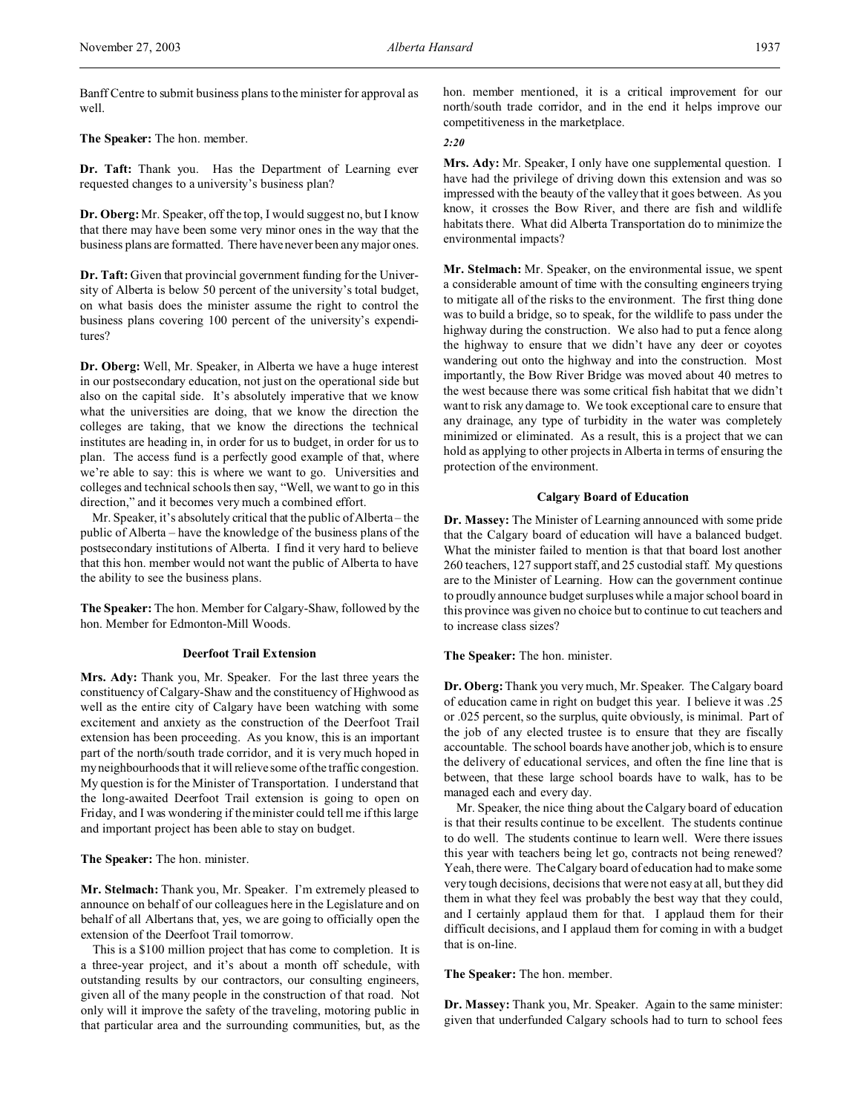Banff Centre to submit business plans to the minister for approval as well.

**The Speaker:** The hon. member.

**Dr. Taft:** Thank you. Has the Department of Learning ever requested changes to a university's business plan?

**Dr. Oberg:** Mr. Speaker, off the top, I would suggest no, but I know that there may have been some very minor ones in the way that the business plans are formatted. There have never been any major ones.

**Dr. Taft:** Given that provincial government funding for the University of Alberta is below 50 percent of the university's total budget, on what basis does the minister assume the right to control the business plans covering 100 percent of the university's expenditures?

**Dr. Oberg:** Well, Mr. Speaker, in Alberta we have a huge interest in our postsecondary education, not just on the operational side but also on the capital side. It's absolutely imperative that we know what the universities are doing, that we know the direction the colleges are taking, that we know the directions the technical institutes are heading in, in order for us to budget, in order for us to plan. The access fund is a perfectly good example of that, where we're able to say: this is where we want to go. Universities and colleges and technical schools then say, "Well, we want to go in this direction," and it becomes very much a combined effort.

Mr. Speaker, it's absolutely critical that the public of Alberta – the public of Alberta – have the knowledge of the business plans of the postsecondary institutions of Alberta. I find it very hard to believe that this hon. member would not want the public of Alberta to have the ability to see the business plans.

**The Speaker:** The hon. Member for Calgary-Shaw, followed by the hon. Member for Edmonton-Mill Woods.

#### **Deerfoot Trail Extension**

**Mrs. Ady:** Thank you, Mr. Speaker. For the last three years the constituency of Calgary-Shaw and the constituency of Highwood as well as the entire city of Calgary have been watching with some excitement and anxiety as the construction of the Deerfoot Trail extension has been proceeding. As you know, this is an important part of the north/south trade corridor, and it is very much hoped in my neighbourhoods that it will relieve some of the traffic congestion. My question is for the Minister of Transportation. I understand that the long-awaited Deerfoot Trail extension is going to open on Friday, and I was wondering if the minister could tell me if this large and important project has been able to stay on budget.

**The Speaker:** The hon. minister.

**Mr. Stelmach:** Thank you, Mr. Speaker. I'm extremely pleased to announce on behalf of our colleagues here in the Legislature and on behalf of all Albertans that, yes, we are going to officially open the extension of the Deerfoot Trail tomorrow.

This is a \$100 million project that has come to completion. It is a three-year project, and it's about a month off schedule, with outstanding results by our contractors, our consulting engineers, given all of the many people in the construction of that road. Not only will it improve the safety of the traveling, motoring public in that particular area and the surrounding communities, but, as the

hon. member mentioned, it is a critical improvement for our north/south trade corridor, and in the end it helps improve our competitiveness in the marketplace.

# *2:20*

**Mrs. Ady:** Mr. Speaker, I only have one supplemental question. I have had the privilege of driving down this extension and was so impressed with the beauty of the valley that it goes between. As you know, it crosses the Bow River, and there are fish and wildlife habitats there. What did Alberta Transportation do to minimize the environmental impacts?

**Mr. Stelmach:** Mr. Speaker, on the environmental issue, we spent a considerable amount of time with the consulting engineers trying to mitigate all of the risks to the environment. The first thing done was to build a bridge, so to speak, for the wildlife to pass under the highway during the construction. We also had to put a fence along the highway to ensure that we didn't have any deer or coyotes wandering out onto the highway and into the construction. Most importantly, the Bow River Bridge was moved about 40 metres to the west because there was some critical fish habitat that we didn't want to risk any damage to. We took exceptional care to ensure that any drainage, any type of turbidity in the water was completely minimized or eliminated. As a result, this is a project that we can hold as applying to other projects in Alberta in terms of ensuring the protection of the environment.

# **Calgary Board of Education**

**Dr. Massey:** The Minister of Learning announced with some pride that the Calgary board of education will have a balanced budget. What the minister failed to mention is that that board lost another 260 teachers, 127 support staff, and 25 custodial staff. My questions are to the Minister of Learning. How can the government continue to proudly announce budget surpluses while a major school board in this province was given no choice but to continue to cut teachers and to increase class sizes?

# **The Speaker:** The hon. minister.

**Dr. Oberg:**Thank you very much, Mr. Speaker. The Calgary board of education came in right on budget this year. I believe it was .25 or .025 percent, so the surplus, quite obviously, is minimal. Part of the job of any elected trustee is to ensure that they are fiscally accountable. The school boards have another job, which is to ensure the delivery of educational services, and often the fine line that is between, that these large school boards have to walk, has to be managed each and every day.

Mr. Speaker, the nice thing about the Calgary board of education is that their results continue to be excellent. The students continue to do well. The students continue to learn well. Were there issues this year with teachers being let go, contracts not being renewed? Yeah, there were. The Calgary board of education had to make some very tough decisions, decisions that were not easy at all, but they did them in what they feel was probably the best way that they could, and I certainly applaud them for that. I applaud them for their difficult decisions, and I applaud them for coming in with a budget that is on-line.

**The Speaker:** The hon. member.

**Dr. Massey:** Thank you, Mr. Speaker. Again to the same minister: given that underfunded Calgary schools had to turn to school fees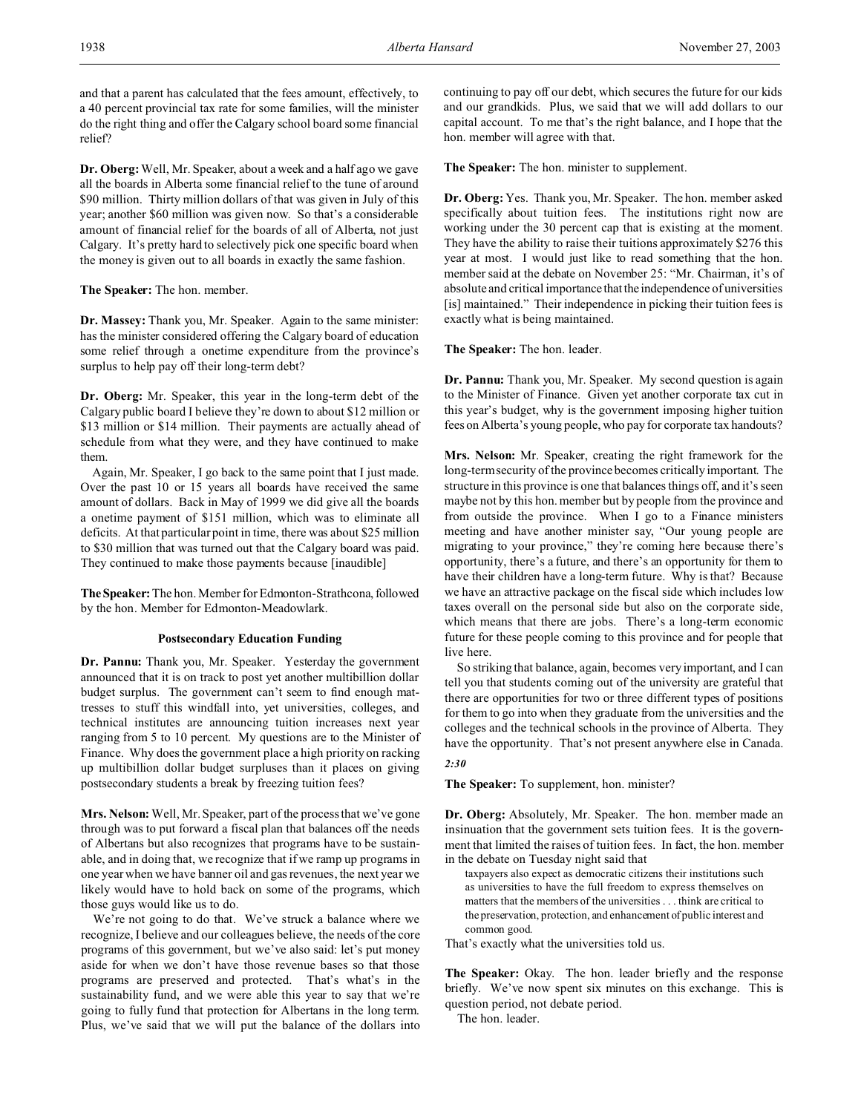and that a parent has calculated that the fees amount, effectively, to a 40 percent provincial tax rate for some families, will the minister do the right thing and offer the Calgary school board some financial relief?

**Dr. Oberg:**Well, Mr. Speaker, about a week and a half ago we gave all the boards in Alberta some financial relief to the tune of around \$90 million. Thirty million dollars of that was given in July of this year; another \$60 million was given now. So that's a considerable amount of financial relief for the boards of all of Alberta, not just Calgary. It's pretty hard to selectively pick one specific board when the money is given out to all boards in exactly the same fashion.

**The Speaker:** The hon. member.

**Dr. Massey:** Thank you, Mr. Speaker. Again to the same minister: has the minister considered offering the Calgary board of education some relief through a onetime expenditure from the province's surplus to help pay off their long-term debt?

**Dr. Oberg:** Mr. Speaker, this year in the long-term debt of the Calgary public board I believe they're down to about \$12 million or \$13 million or \$14 million. Their payments are actually ahead of schedule from what they were, and they have continued to make them.

Again, Mr. Speaker, I go back to the same point that I just made. Over the past 10 or 15 years all boards have received the same amount of dollars. Back in May of 1999 we did give all the boards a onetime payment of \$151 million, which was to eliminate all deficits. At that particular point in time, there was about \$25 million to \$30 million that was turned out that the Calgary board was paid. They continued to make those payments because [inaudible]

**TheSpeaker:** The hon. Member for Edmonton-Strathcona, followed by the hon. Member for Edmonton-Meadowlark.

#### **Postsecondary Education Funding**

**Dr. Pannu:** Thank you, Mr. Speaker. Yesterday the government announced that it is on track to post yet another multibillion dollar budget surplus. The government can't seem to find enough mattresses to stuff this windfall into, yet universities, colleges, and technical institutes are announcing tuition increases next year ranging from 5 to 10 percent. My questions are to the Minister of Finance. Why does the government place a high priority on racking up multibillion dollar budget surpluses than it places on giving postsecondary students a break by freezing tuition fees?

**Mrs. Nelson:** Well, Mr. Speaker, part of the process that we've gone through was to put forward a fiscal plan that balances off the needs of Albertans but also recognizes that programs have to be sustainable, and in doing that, we recognize that if we ramp up programs in one year when we have banner oil and gas revenues, the next year we likely would have to hold back on some of the programs, which those guys would like us to do.

We're not going to do that. We've struck a balance where we recognize, I believe and our colleagues believe, the needs of the core programs of this government, but we've also said: let's put money aside for when we don't have those revenue bases so that those programs are preserved and protected. That's what's in the sustainability fund, and we were able this year to say that we're going to fully fund that protection for Albertans in the long term. Plus, we've said that we will put the balance of the dollars into continuing to pay off our debt, which secures the future for our kids and our grandkids. Plus, we said that we will add dollars to our capital account. To me that's the right balance, and I hope that the hon. member will agree with that.

**The Speaker:** The hon. minister to supplement.

**Dr. Oberg:** Yes. Thank you, Mr. Speaker. The hon. member asked specifically about tuition fees. The institutions right now are working under the 30 percent cap that is existing at the moment. They have the ability to raise their tuitions approximately \$276 this year at most. I would just like to read something that the hon. member said at the debate on November 25: "Mr. Chairman, it's of absolute and critical importance that the independence of universities [is] maintained." Their independence in picking their tuition fees is exactly what is being maintained.

**The Speaker:** The hon. leader.

**Dr. Pannu:** Thank you, Mr. Speaker. My second question is again to the Minister of Finance. Given yet another corporate tax cut in this year's budget, why is the government imposing higher tuition fees on Alberta's young people, who pay for corporate tax handouts?

**Mrs. Nelson:** Mr. Speaker, creating the right framework for the long-term security of the province becomes critically important. The structure in this province is one that balances things off, and it's seen maybe not by this hon. member but by people from the province and from outside the province. When I go to a Finance ministers meeting and have another minister say, "Our young people are migrating to your province," they're coming here because there's opportunity, there's a future, and there's an opportunity for them to have their children have a long-term future. Why is that? Because we have an attractive package on the fiscal side which includes low taxes overall on the personal side but also on the corporate side, which means that there are jobs. There's a long-term economic future for these people coming to this province and for people that live here.

So striking that balance, again, becomes very important, and I can tell you that students coming out of the university are grateful that there are opportunities for two or three different types of positions for them to go into when they graduate from the universities and the colleges and the technical schools in the province of Alberta. They have the opportunity. That's not present anywhere else in Canada. *2:30*

**The Speaker:** To supplement, hon. minister?

**Dr. Oberg:** Absolutely, Mr. Speaker. The hon. member made an insinuation that the government sets tuition fees. It is the government that limited the raises of tuition fees. In fact, the hon. member in the debate on Tuesday night said that

taxpayers also expect as democratic citizens their institutions such as universities to have the full freedom to express themselves on matters that the members of the universities . . . think are critical to the preservation, protection, and enhancement of public interest and common good.

That's exactly what the universities told us.

**The Speaker:** Okay. The hon. leader briefly and the response briefly. We've now spent six minutes on this exchange. This is question period, not debate period.

The hon. leader.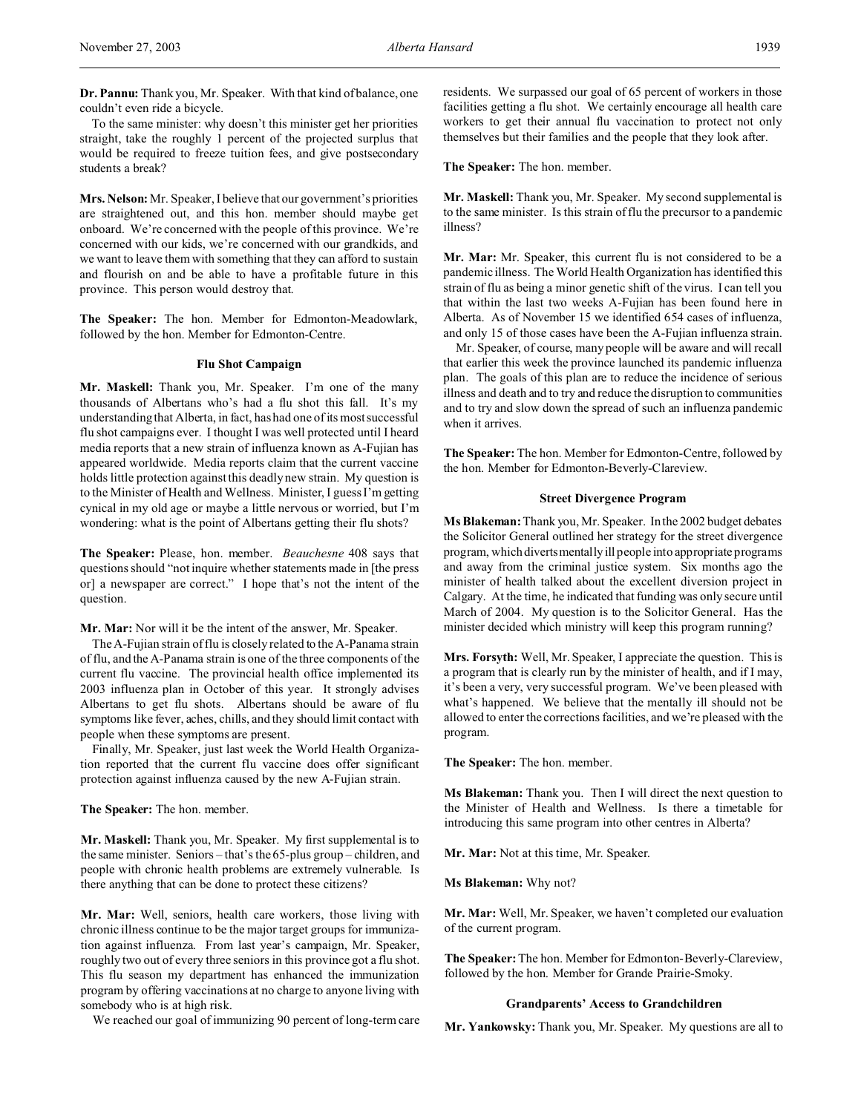**Dr. Pannu:** Thank you, Mr. Speaker. With that kind of balance, one couldn't even ride a bicycle.

To the same minister: why doesn't this minister get her priorities straight, take the roughly 1 percent of the projected surplus that would be required to freeze tuition fees, and give postsecondary students a break?

**Mrs. Nelson:** Mr. Speaker, I believe that our government's priorities are straightened out, and this hon. member should maybe get onboard. We're concerned with the people of this province. We're concerned with our kids, we're concerned with our grandkids, and we want to leave them with something that they can afford to sustain and flourish on and be able to have a profitable future in this province. This person would destroy that.

**The Speaker:** The hon. Member for Edmonton-Meadowlark, followed by the hon. Member for Edmonton-Centre.

# **Flu Shot Campaign**

**Mr. Maskell:** Thank you, Mr. Speaker. I'm one of the many thousands of Albertans who's had a flu shot this fall. It's my understanding that Alberta, in fact, has had one of its most successful flu shot campaigns ever. I thought I was well protected until I heard media reports that a new strain of influenza known as A-Fujian has appeared worldwide. Media reports claim that the current vaccine holds little protection against this deadly new strain. My question is to the Minister of Health and Wellness. Minister, I guess I'm getting cynical in my old age or maybe a little nervous or worried, but I'm wondering: what is the point of Albertans getting their flu shots?

**The Speaker:** Please, hon. member. *Beauchesne* 408 says that questions should "not inquire whether statements made in [the press or] a newspaper are correct." I hope that's not the intent of the question.

#### **Mr. Mar:** Nor will it be the intent of the answer, Mr. Speaker.

The A-Fujian strain of flu is closely related to the A-Panama strain of flu, and the A-Panama strain is one of the three components of the current flu vaccine. The provincial health office implemented its 2003 influenza plan in October of this year. It strongly advises Albertans to get flu shots. Albertans should be aware of flu symptoms like fever, aches, chills, and they should limit contact with people when these symptoms are present.

Finally, Mr. Speaker, just last week the World Health Organization reported that the current flu vaccine does offer significant protection against influenza caused by the new A-Fujian strain.

**The Speaker:** The hon. member.

**Mr. Maskell:** Thank you, Mr. Speaker. My first supplemental is to the same minister. Seniors – that's the 65-plus group – children, and people with chronic health problems are extremely vulnerable. Is there anything that can be done to protect these citizens?

**Mr. Mar:** Well, seniors, health care workers, those living with chronic illness continue to be the major target groups for immunization against influenza. From last year's campaign, Mr. Speaker, roughly two out of every three seniors in this province got a flu shot. This flu season my department has enhanced the immunization program by offering vaccinations at no charge to anyone living with somebody who is at high risk.

We reached our goal of immunizing 90 percent of long-term care

residents. We surpassed our goal of 65 percent of workers in those facilities getting a flu shot. We certainly encourage all health care workers to get their annual flu vaccination to protect not only themselves but their families and the people that they look after.

**The Speaker:** The hon. member.

**Mr. Maskell:** Thank you, Mr. Speaker. My second supplemental is to the same minister. Is this strain of flu the precursor to a pandemic illness?

**Mr. Mar:** Mr. Speaker, this current flu is not considered to be a pandemic illness. The World Health Organization has identified this strain of flu as being a minor genetic shift of the virus. I can tell you that within the last two weeks A-Fujian has been found here in Alberta. As of November 15 we identified 654 cases of influenza, and only 15 of those cases have been the A-Fujian influenza strain.

Mr. Speaker, of course, many people will be aware and will recall that earlier this week the province launched its pandemic influenza plan. The goals of this plan are to reduce the incidence of serious illness and death and to try and reduce the disruption to communities and to try and slow down the spread of such an influenza pandemic when it arrives.

**The Speaker:** The hon. Member for Edmonton-Centre, followed by the hon. Member for Edmonton-Beverly-Clareview.

#### **Street Divergence Program**

**Ms Blakeman:** Thank you, Mr. Speaker. In the 2002 budget debates the Solicitor General outlined her strategy for the street divergence program, which diverts mentally ill people into appropriate programs and away from the criminal justice system. Six months ago the minister of health talked about the excellent diversion project in Calgary. At the time, he indicated that funding was only secure until March of 2004. My question is to the Solicitor General. Has the minister decided which ministry will keep this program running?

**Mrs. Forsyth:** Well, Mr. Speaker, I appreciate the question. This is a program that is clearly run by the minister of health, and if I may, it's been a very, very successful program. We've been pleased with what's happened. We believe that the mentally ill should not be allowed to enter the corrections facilities, and we're pleased with the program.

**The Speaker:** The hon. member.

**Ms Blakeman:** Thank you. Then I will direct the next question to the Minister of Health and Wellness. Is there a timetable for introducing this same program into other centres in Alberta?

**Mr. Mar:** Not at this time, Mr. Speaker.

**Ms Blakeman:** Why not?

**Mr. Mar:** Well, Mr. Speaker, we haven't completed our evaluation of the current program.

**The Speaker:**The hon. Member for Edmonton-Beverly-Clareview, followed by the hon. Member for Grande Prairie-Smoky.

#### **Grandparents' Access to Grandchildren**

**Mr. Yankowsky:** Thank you, Mr. Speaker. My questions are all to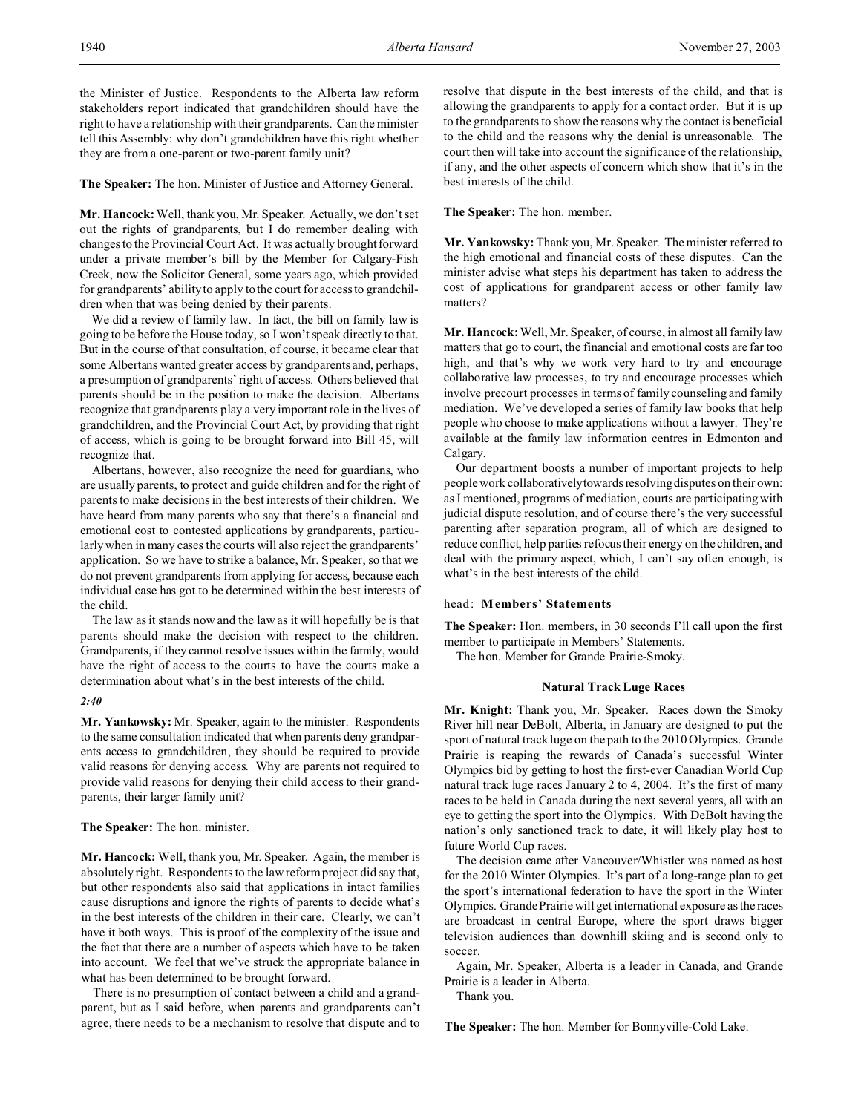the Minister of Justice. Respondents to the Alberta law reform stakeholders report indicated that grandchildren should have the right to have a relationship with their grandparents. Can the minister tell this Assembly: why don't grandchildren have this right whether they are from a one-parent or two-parent family unit?

#### **The Speaker:** The hon. Minister of Justice and Attorney General.

**Mr. Hancock:** Well, thank you, Mr. Speaker. Actually, we don't set out the rights of grandparents, but I do remember dealing with changes to the Provincial Court Act. It was actually brought forward under a private member's bill by the Member for Calgary-Fish Creek, now the Solicitor General, some years ago, which provided for grandparents' ability to apply to the court for access to grandchildren when that was being denied by their parents.

We did a review of family law. In fact, the bill on family law is going to be before the House today, so I won't speak directly to that. But in the course of that consultation, of course, it became clear that some Albertans wanted greater access by grandparents and, perhaps, a presumption of grandparents' right of access. Others believed that parents should be in the position to make the decision. Albertans recognize that grandparents play a very important role in the lives of grandchildren, and the Provincial Court Act, by providing that right of access, which is going to be brought forward into Bill 45, will recognize that.

Albertans, however, also recognize the need for guardians, who are usually parents, to protect and guide children and for the right of parents to make decisions in the best interests of their children. We have heard from many parents who say that there's a financial and emotional cost to contested applications by grandparents, particularly when in many cases the courts will also reject the grandparents' application. So we have to strike a balance, Mr. Speaker, so that we do not prevent grandparents from applying for access, because each individual case has got to be determined within the best interests of the child.

The law as it stands now and the law as it will hopefully be is that parents should make the decision with respect to the children. Grandparents, if they cannot resolve issues within the family, would have the right of access to the courts to have the courts make a determination about what's in the best interests of the child.

#### *2:40*

**Mr. Yankowsky:** Mr. Speaker, again to the minister. Respondents to the same consultation indicated that when parents deny grandparents access to grandchildren, they should be required to provide valid reasons for denying access. Why are parents not required to provide valid reasons for denying their child access to their grandparents, their larger family unit?

# **The Speaker:** The hon. minister.

**Mr. Hancock:** Well, thank you, Mr. Speaker. Again, the member is absolutely right. Respondents to the law reform project did say that, but other respondents also said that applications in intact families cause disruptions and ignore the rights of parents to decide what's in the best interests of the children in their care. Clearly, we can't have it both ways. This is proof of the complexity of the issue and the fact that there are a number of aspects which have to be taken into account. We feel that we've struck the appropriate balance in what has been determined to be brought forward.

There is no presumption of contact between a child and a grandparent, but as I said before, when parents and grandparents can't agree, there needs to be a mechanism to resolve that dispute and to resolve that dispute in the best interests of the child, and that is allowing the grandparents to apply for a contact order. But it is up to the grandparents to show the reasons why the contact is beneficial to the child and the reasons why the denial is unreasonable. The court then will take into account the significance of the relationship, if any, and the other aspects of concern which show that it's in the best interests of the child.

#### **The Speaker:** The hon. member.

**Mr. Yankowsky:** Thank you, Mr. Speaker. The minister referred to the high emotional and financial costs of these disputes. Can the minister advise what steps his department has taken to address the cost of applications for grandparent access or other family law matters?

**Mr. Hancock:** Well, Mr. Speaker, of course, in almost all family law matters that go to court, the financial and emotional costs are far too high, and that's why we work very hard to try and encourage collaborative law processes, to try and encourage processes which involve precourt processes in terms of family counseling and family mediation. We've developed a series of family law books that help people who choose to make applications without a lawyer. They're available at the family law information centres in Edmonton and Calgary.

Our department boosts a number of important projects to help people work collaborativelytowards resolving disputes on their own: as I mentioned, programs of mediation, courts are participating with judicial dispute resolution, and of course there's the very successful parenting after separation program, all of which are designed to reduce conflict, help parties refocus their energy on the children, and deal with the primary aspect, which, I can't say often enough, is what's in the best interests of the child.

#### head: **Members' Statements**

**The Speaker:** Hon. members, in 30 seconds I'll call upon the first member to participate in Members' Statements.

The hon. Member for Grande Prairie-Smoky.

#### **Natural Track Luge Races**

**Mr. Knight:** Thank you, Mr. Speaker. Races down the Smoky River hill near DeBolt, Alberta, in January are designed to put the sport of natural track luge on the path to the 2010 Olympics. Grande Prairie is reaping the rewards of Canada's successful Winter Olympics bid by getting to host the first-ever Canadian World Cup natural track luge races January 2 to 4, 2004. It's the first of many races to be held in Canada during the next several years, all with an eye to getting the sport into the Olympics. With DeBolt having the nation's only sanctioned track to date, it will likely play host to future World Cup races.

The decision came after Vancouver/Whistler was named as host for the 2010 Winter Olympics. It's part of a long-range plan to get the sport's international federation to have the sport in the Winter Olympics. Grande Prairie will get international exposure as the races are broadcast in central Europe, where the sport draws bigger television audiences than downhill skiing and is second only to soccer.

Again, Mr. Speaker, Alberta is a leader in Canada, and Grande Prairie is a leader in Alberta.

Thank you.

**The Speaker:** The hon. Member for Bonnyville-Cold Lake.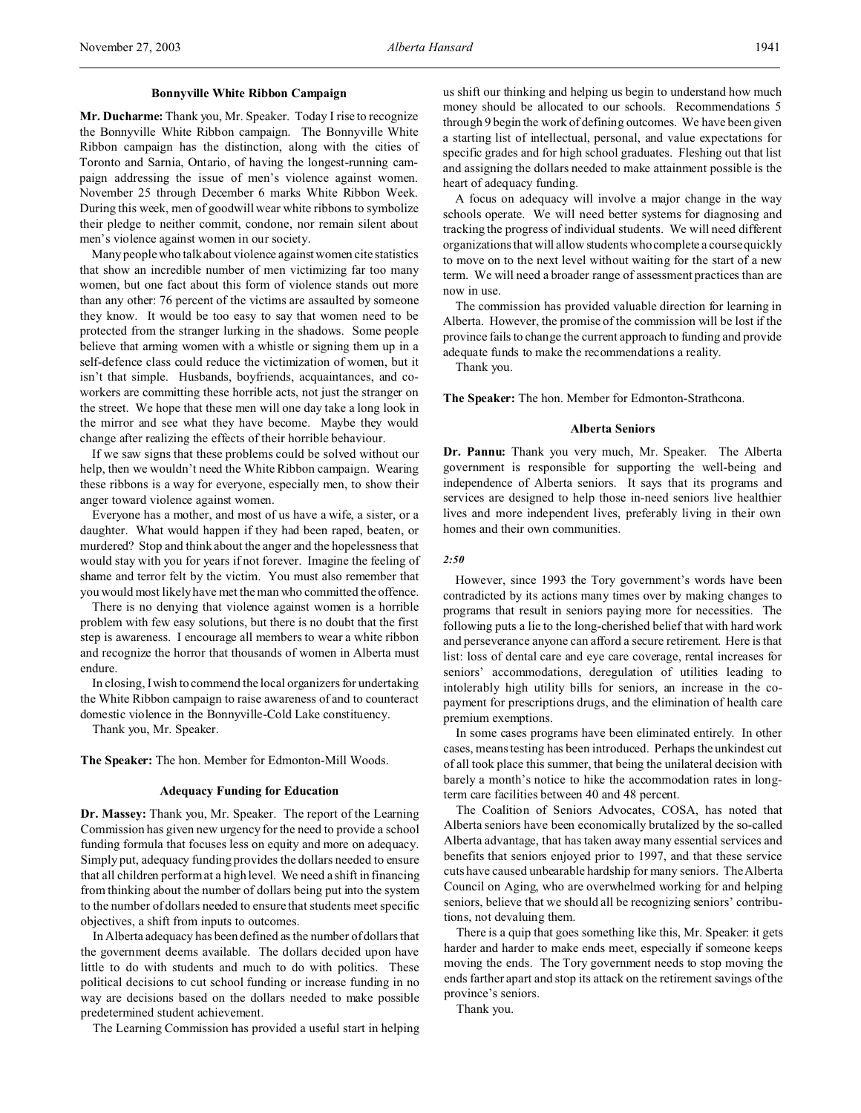### **Bonnyville White Ribbon Campaign**

**Mr. Ducharme:** Thank you, Mr. Speaker. Today I rise to recognize the Bonnyville White Ribbon campaign. The Bonnyville White Ribbon campaign has the distinction, along with the cities of Toronto and Sarnia, Ontario, of having the longest-running campaign addressing the issue of men's violence against women. November 25 through December 6 marks White Ribbon Week. During this week, men of goodwill wear white ribbons to symbolize their pledge to neither commit, condone, nor remain silent about men's violence against women in our society.

Many people who talk about violence against women cite statistics that show an incredible number of men victimizing far too many women, but one fact about this form of violence stands out more than any other: 76 percent of the victims are assaulted by someone they know. It would be too easy to say that women need to be protected from the stranger lurking in the shadows. Some people believe that arming women with a whistle or signing them up in a self-defence class could reduce the victimization of women, but it isn't that simple. Husbands, boyfriends, acquaintances, and coworkers are committing these horrible acts, not just the stranger on the street. We hope that these men will one day take a long look in the mirror and see what they have become. Maybe they would change after realizing the effects of their horrible behaviour.

If we saw signs that these problems could be solved without our help, then we wouldn't need the White Ribbon campaign. Wearing these ribbons is a way for everyone, especially men, to show their anger toward violence against women.

Everyone has a mother, and most of us have a wife, a sister, or a daughter. What would happen if they had been raped, beaten, or murdered? Stop and think about the anger and the hopelessness that would stay with you for years if not forever. Imagine the feeling of shame and terror felt by the victim. You must also remember that you would most likely have met the man who committed the offence.

There is no denying that violence against women is a horrible problem with few easy solutions, but there is no doubt that the first step is awareness. I encourage all members to wear a white ribbon and recognize the horror that thousands of women in Alberta must endure.

In closing, I wish to commend the local organizers for undertaking the White Ribbon campaign to raise awareness of and to counteract domestic violence in the Bonnyville-Cold Lake constituency.

Thank you, Mr. Speaker.

**The Speaker:** The hon. Member for Edmonton-Mill Woods.

#### **Adequacy Funding for Education**

**Dr. Massey:** Thank you, Mr. Speaker. The report of the Learning Commission has given new urgency for the need to provide a school funding formula that focuses less on equity and more on adequacy. Simply put, adequacy funding provides the dollars needed to ensure that all children perform at a high level. We need a shift in financing from thinking about the number of dollars being put into the system to the number of dollars needed to ensure that students meet specific objectives, a shift from inputs to outcomes.

In Alberta adequacy has been defined as the number of dollars that the government deems available. The dollars decided upon have little to do with students and much to do with politics. These political decisions to cut school funding or increase funding in no way are decisions based on the dollars needed to make possible predetermined student achievement.

The Learning Commission has provided a useful start in helping

us shift our thinking and helping us begin to understand how much money should be allocated to our schools. Recommendations 5 through 9 begin the work of defining outcomes. We have been given a starting list of intellectual, personal, and value expectations for specific grades and for high school graduates. Fleshing out that list and assigning the dollars needed to make attainment possible is the heart of adequacy funding.

A focus on adequacy will involve a major change in the way schools operate. We will need better systems for diagnosing and tracking the progress of individual students. We will need different organizations that will allow students who complete a course quickly to move on to the next level without waiting for the start of a new term. We will need a broader range of assessment practices than are now in use.

The commission has provided valuable direction for learning in Alberta. However, the promise of the commission will be lost if the province fails to change the current approach to funding and provide adequate funds to make the recommendations a reality.

Thank you.

**The Speaker:** The hon. Member for Edmonton-Strathcona.

#### **Alberta Seniors**

**Dr. Pannu:** Thank you very much, Mr. Speaker. The Alberta government is responsible for supporting the well-being and independence of Alberta seniors. It says that its programs and services are designed to help those in-need seniors live healthier lives and more independent lives, preferably living in their own homes and their own communities.

#### *2:50*

However, since 1993 the Tory government's words have been contradicted by its actions many times over by making changes to programs that result in seniors paying more for necessities. The following puts a lie to the long-cherished belief that with hard work and perseverance anyone can afford a secure retirement. Here is that list: loss of dental care and eye care coverage, rental increases for seniors' accommodations, deregulation of utilities leading to intolerably high utility bills for seniors, an increase in the copayment for prescriptions drugs, and the elimination of health care premium exemptions.

In some cases programs have been eliminated entirely. In other cases, means testing has been introduced. Perhaps the unkindest cut of all took place this summer, that being the unilateral decision with barely a month's notice to hike the accommodation rates in longterm care facilities between 40 and 48 percent.

The Coalition of Seniors Advocates, COSA, has noted that Alberta seniors have been economically brutalized by the so-called Alberta advantage, that has taken away many essential services and benefits that seniors enjoyed prior to 1997, and that these service cuts have caused unbearable hardship for many seniors. The Alberta Council on Aging, who are overwhelmed working for and helping seniors, believe that we should all be recognizing seniors' contributions, not devaluing them.

There is a quip that goes something like this, Mr. Speaker: it gets harder and harder to make ends meet, especially if someone keeps moving the ends. The Tory government needs to stop moving the ends farther apart and stop its attack on the retirement savings of the province's seniors.

Thank you.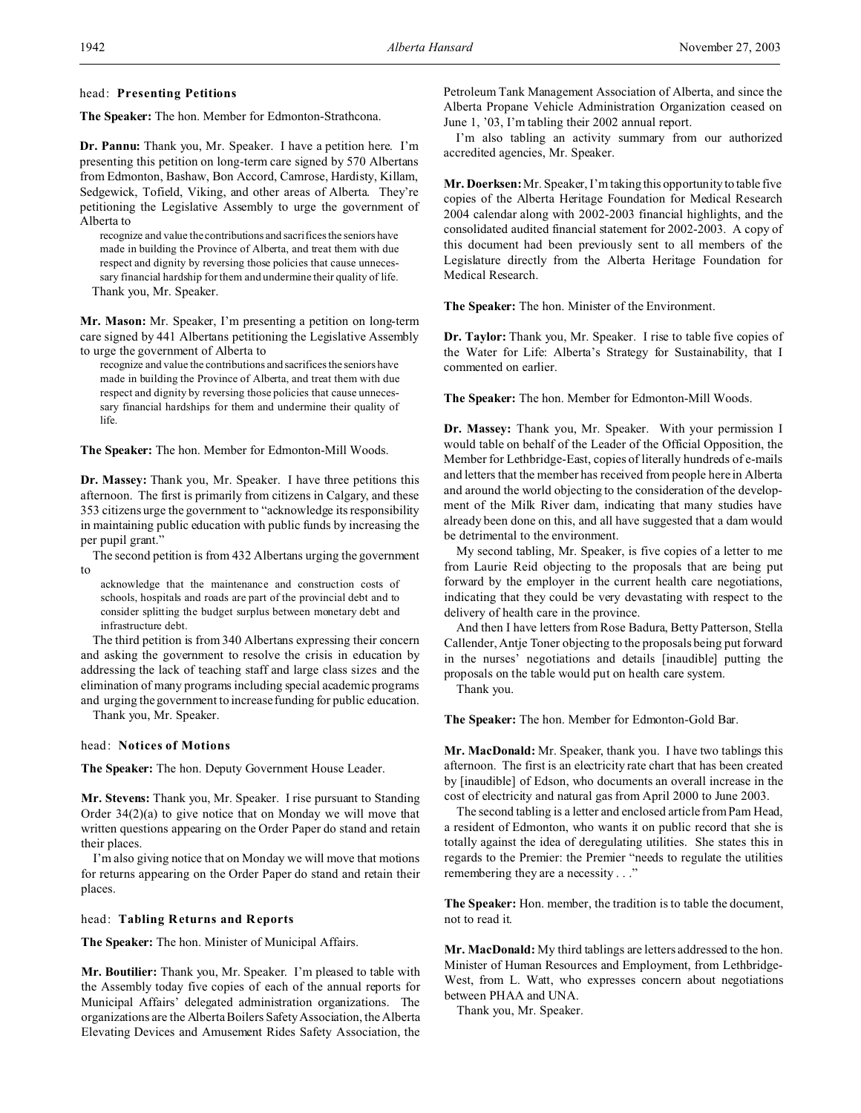# head: **Presenting Petitions**

**The Speaker:** The hon. Member for Edmonton-Strathcona.

**Dr. Pannu:** Thank you, Mr. Speaker. I have a petition here. I'm presenting this petition on long-term care signed by 570 Albertans from Edmonton, Bashaw, Bon Accord, Camrose, Hardisty, Killam, Sedgewick, Tofield, Viking, and other areas of Alberta. They're petitioning the Legislative Assembly to urge the government of Alberta to

recognize and value the contributions and sacrifices the seniors have made in building the Province of Alberta, and treat them with due respect and dignity by reversing those policies that cause unnecessary financial hardship for them and undermine their quality of life. Thank you, Mr. Speaker.

**Mr. Mason:** Mr. Speaker, I'm presenting a petition on long-term care signed by 441 Albertans petitioning the Legislative Assembly to urge the government of Alberta to

recognize and value the contributions and sacrifices the seniors have made in building the Province of Alberta, and treat them with due respect and dignity by reversing those policies that cause unnecessary financial hardships for them and undermine their quality of life.

**The Speaker:** The hon. Member for Edmonton-Mill Woods.

**Dr. Massey:** Thank you, Mr. Speaker. I have three petitions this afternoon. The first is primarily from citizens in Calgary, and these 353 citizens urge the government to "acknowledge its responsibility in maintaining public education with public funds by increasing the per pupil grant."

The second petition is from 432 Albertans urging the government to

acknowledge that the maintenance and construction costs of schools, hospitals and roads are part of the provincial debt and to consider splitting the budget surplus between monetary debt and infrastructure debt.

The third petition is from 340 Albertans expressing their concern and asking the government to resolve the crisis in education by addressing the lack of teaching staff and large class sizes and the elimination of many programs including special academic programs and urging the government to increase funding for public education.

Thank you, Mr. Speaker.

# head: **Notices of Motions**

**The Speaker:** The hon. Deputy Government House Leader.

**Mr. Stevens:** Thank you, Mr. Speaker. I rise pursuant to Standing Order 34(2)(a) to give notice that on Monday we will move that written questions appearing on the Order Paper do stand and retain their places.

I'm also giving notice that on Monday we will move that motions for returns appearing on the Order Paper do stand and retain their places.

### head: **Tabling Returns and Reports**

**The Speaker:** The hon. Minister of Municipal Affairs.

**Mr. Boutilier:** Thank you, Mr. Speaker. I'm pleased to table with the Assembly today five copies of each of the annual reports for Municipal Affairs' delegated administration organizations. The organizations are the Alberta Boilers Safety Association, the Alberta Elevating Devices and Amusement Rides Safety Association, the

Petroleum Tank Management Association of Alberta, and since the Alberta Propane Vehicle Administration Organization ceased on June 1, '03, I'm tabling their 2002 annual report.

I'm also tabling an activity summary from our authorized accredited agencies, Mr. Speaker.

**Mr. Doerksen:** Mr. Speaker, I'm taking this opportunity to table five copies of the Alberta Heritage Foundation for Medical Research 2004 calendar along with 2002-2003 financial highlights, and the consolidated audited financial statement for 2002-2003. A copy of this document had been previously sent to all members of the Legislature directly from the Alberta Heritage Foundation for Medical Research.

**The Speaker:** The hon. Minister of the Environment.

**Dr. Taylor:** Thank you, Mr. Speaker. I rise to table five copies of the Water for Life: Alberta's Strategy for Sustainability, that I commented on earlier.

**The Speaker:** The hon. Member for Edmonton-Mill Woods.

**Dr. Massey:** Thank you, Mr. Speaker. With your permission I would table on behalf of the Leader of the Official Opposition, the Member for Lethbridge-East, copies of literally hundreds of e-mails and letters that the member has received from people here in Alberta and around the world objecting to the consideration of the development of the Milk River dam, indicating that many studies have already been done on this, and all have suggested that a dam would be detrimental to the environment.

My second tabling, Mr. Speaker, is five copies of a letter to me from Laurie Reid objecting to the proposals that are being put forward by the employer in the current health care negotiations, indicating that they could be very devastating with respect to the delivery of health care in the province.

And then I have letters from Rose Badura, Betty Patterson, Stella Callender, Antje Toner objecting to the proposals being put forward in the nurses' negotiations and details [inaudible] putting the proposals on the table would put on health care system.

Thank you.

**The Speaker:** The hon. Member for Edmonton-Gold Bar.

**Mr. MacDonald:** Mr. Speaker, thank you. I have two tablings this afternoon. The first is an electricity rate chart that has been created by [inaudible] of Edson, who documents an overall increase in the cost of electricity and natural gas from April 2000 to June 2003.

The second tabling is a letter and enclosed article from Pam Head, a resident of Edmonton, who wants it on public record that she is totally against the idea of deregulating utilities. She states this in regards to the Premier: the Premier "needs to regulate the utilities remembering they are a necessity . . ."

**The Speaker:** Hon. member, the tradition is to table the document, not to read it.

**Mr. MacDonald:** My third tablings are letters addressed to the hon. Minister of Human Resources and Employment, from Lethbridge-West, from L. Watt, who expresses concern about negotiations between PHAA and UNA.

Thank you, Mr. Speaker.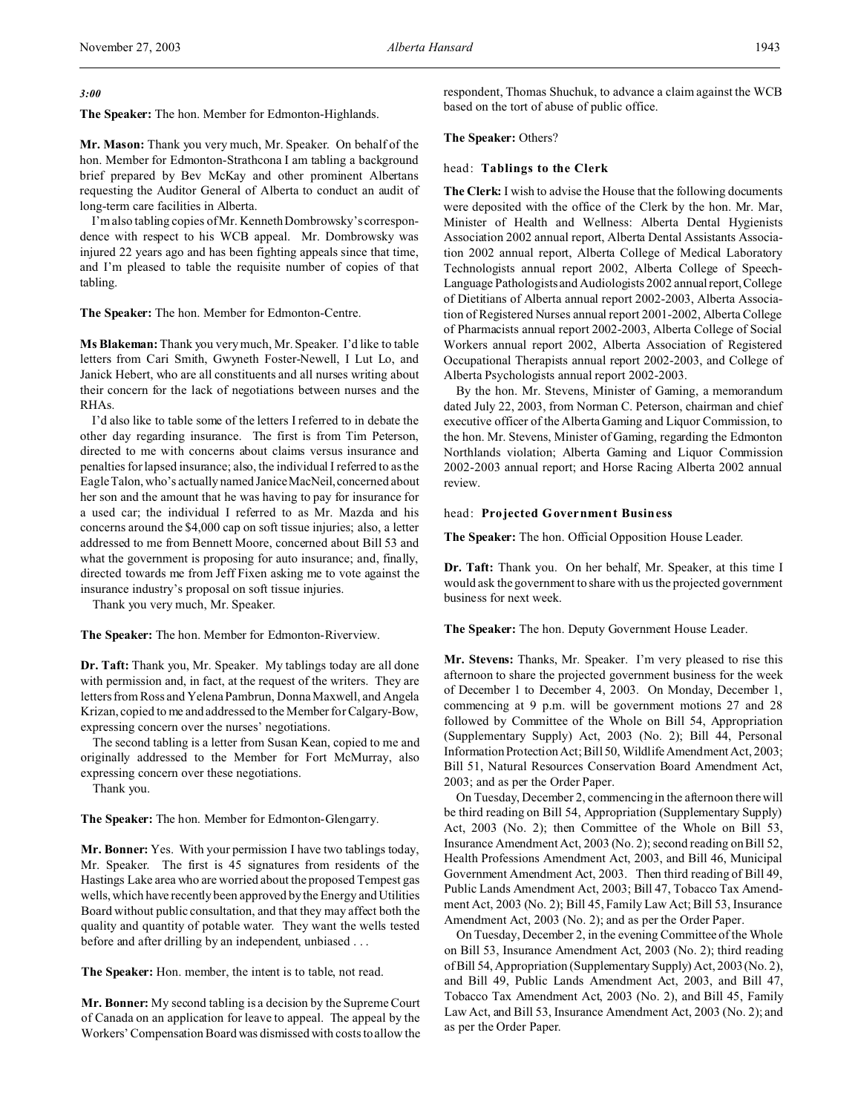*3:00*

**The Speaker:** The hon. Member for Edmonton-Highlands.

**Mr. Mason:** Thank you very much, Mr. Speaker. On behalf of the hon. Member for Edmonton-Strathcona I am tabling a background brief prepared by Bev McKay and other prominent Albertans requesting the Auditor General of Alberta to conduct an audit of long-term care facilities in Alberta.

I'm also tabling copies of Mr. Kenneth Dombrowsky's correspondence with respect to his WCB appeal. Mr. Dombrowsky was injured 22 years ago and has been fighting appeals since that time, and I'm pleased to table the requisite number of copies of that tabling.

**The Speaker:** The hon. Member for Edmonton-Centre.

**Ms Blakeman:** Thank you very much, Mr. Speaker. I'd like to table letters from Cari Smith, Gwyneth Foster-Newell, I Lut Lo, and Janick Hebert, who are all constituents and all nurses writing about their concern for the lack of negotiations between nurses and the RHAs.

I'd also like to table some of the letters I referred to in debate the other day regarding insurance. The first is from Tim Peterson, directed to me with concerns about claims versus insurance and penalties for lapsed insurance; also, the individual I referred to as the Eagle Talon, who's actually named Janice MacNeil, concerned about her son and the amount that he was having to pay for insurance for a used car; the individual I referred to as Mr. Mazda and his concerns around the \$4,000 cap on soft tissue injuries; also, a letter addressed to me from Bennett Moore, concerned about Bill 53 and what the government is proposing for auto insurance; and, finally, directed towards me from Jeff Fixen asking me to vote against the insurance industry's proposal on soft tissue injuries.

Thank you very much, Mr. Speaker.

**The Speaker:** The hon. Member for Edmonton-Riverview.

**Dr. Taft:** Thank you, Mr. Speaker. My tablings today are all done with permission and, in fact, at the request of the writers. They are letters from Ross and Yelena Pambrun, Donna Maxwell, and Angela Krizan, copied to me and addressed to the Member for Calgary-Bow, expressing concern over the nurses' negotiations.

The second tabling is a letter from Susan Kean, copied to me and originally addressed to the Member for Fort McMurray, also expressing concern over these negotiations.

Thank you.

**The Speaker:** The hon. Member for Edmonton-Glengarry.

**Mr. Bonner:** Yes. With your permission I have two tablings today, Mr. Speaker. The first is 45 signatures from residents of the Hastings Lake area who are worried about the proposed Tempest gas wells, which have recently been approved by the Energy and Utilities Board without public consultation, and that they may affect both the quality and quantity of potable water. They want the wells tested before and after drilling by an independent, unbiased . . .

**The Speaker:** Hon. member, the intent is to table, not read.

**Mr. Bonner:** My second tabling is a decision by the Supreme Court of Canada on an application for leave to appeal. The appeal by the Workers' Compensation Board was dismissed with costs to allow the respondent, Thomas Shuchuk, to advance a claim against the WCB based on the tort of abuse of public office.

#### **The Speaker:** Others?

#### head: **Tablings to the Clerk**

**The Clerk:** I wish to advise the House that the following documents were deposited with the office of the Clerk by the hon. Mr. Mar, Minister of Health and Wellness: Alberta Dental Hygienists Association 2002 annual report, Alberta Dental Assistants Association 2002 annual report, Alberta College of Medical Laboratory Technologists annual report 2002, Alberta College of Speech-Language Pathologists and Audiologists 2002 annualreport,College of Dietitians of Alberta annual report 2002-2003, Alberta Association of Registered Nurses annual report 2001-2002, Alberta College of Pharmacists annual report 2002-2003, Alberta College of Social Workers annual report 2002, Alberta Association of Registered Occupational Therapists annual report 2002-2003, and College of Alberta Psychologists annual report 2002-2003.

By the hon. Mr. Stevens, Minister of Gaming, a memorandum dated July 22, 2003, from Norman C. Peterson, chairman and chief executive officer of the Alberta Gaming and Liquor Commission, to the hon. Mr. Stevens, Minister of Gaming, regarding the Edmonton Northlands violation; Alberta Gaming and Liquor Commission 2002-2003 annual report; and Horse Racing Alberta 2002 annual review.

#### head: **Projected Government Business**

**The Speaker:** The hon. Official Opposition House Leader.

**Dr. Taft:** Thank you. On her behalf, Mr. Speaker, at this time I would ask the government to share with us the projected government business for next week.

**The Speaker:** The hon. Deputy Government House Leader.

**Mr. Stevens:** Thanks, Mr. Speaker. I'm very pleased to rise this afternoon to share the projected government business for the week of December 1 to December 4, 2003. On Monday, December 1, commencing at 9 p.m. will be government motions 27 and 28 followed by Committee of the Whole on Bill 54, Appropriation (Supplementary Supply) Act, 2003 (No. 2); Bill 44, Personal Information Protection Act; Bill 50, Wildlife Amendment Act, 2003; Bill 51, Natural Resources Conservation Board Amendment Act, 2003; and as per the Order Paper.

On Tuesday, December 2, commencing in the afternoon there will be third reading on Bill 54, Appropriation (Supplementary Supply) Act, 2003 (No. 2); then Committee of the Whole on Bill 53, Insurance Amendment Act, 2003 (No. 2); second reading on Bill 52, Health Professions Amendment Act, 2003, and Bill 46, Municipal Government Amendment Act, 2003. Then third reading of Bill 49, Public Lands Amendment Act, 2003; Bill 47, Tobacco Tax Amendment Act, 2003 (No. 2); Bill 45, Family Law Act; Bill 53, Insurance Amendment Act, 2003 (No. 2); and as per the Order Paper.

On Tuesday, December 2, in the evening Committee of the Whole on Bill 53, Insurance Amendment Act, 2003 (No. 2); third reading of Bill 54, Appropriation (Supplementary Supply) Act, 2003 (No. 2), and Bill 49, Public Lands Amendment Act, 2003, and Bill 47, Tobacco Tax Amendment Act, 2003 (No. 2), and Bill 45, Family Law Act, and Bill 53, Insurance Amendment Act, 2003 (No. 2); and as per the Order Paper.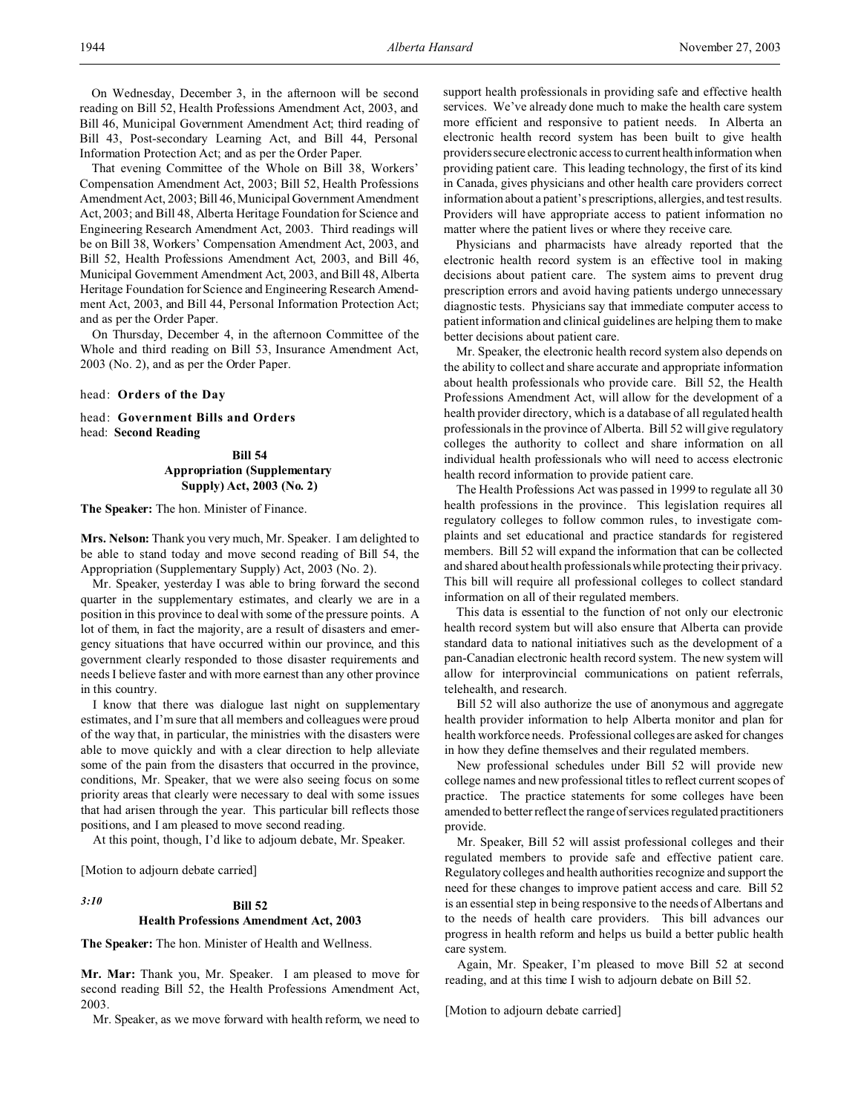On Wednesday, December 3, in the afternoon will be second reading on Bill 52, Health Professions Amendment Act, 2003, and Bill 46, Municipal Government Amendment Act; third reading of Bill 43, Post-secondary Learning Act, and Bill 44, Personal Information Protection Act; and as per the Order Paper.

That evening Committee of the Whole on Bill 38, Workers' Compensation Amendment Act, 2003; Bill 52, Health Professions Amendment Act, 2003; Bill 46, Municipal Government Amendment Act, 2003; and Bill 48, Alberta Heritage Foundation for Science and Engineering Research Amendment Act, 2003. Third readings will be on Bill 38, Workers' Compensation Amendment Act, 2003, and Bill 52, Health Professions Amendment Act, 2003, and Bill 46, Municipal Government Amendment Act, 2003, and Bill 48, Alberta Heritage Foundation for Science and Engineering Research Amendment Act, 2003, and Bill 44, Personal Information Protection Act; and as per the Order Paper.

On Thursday, December 4, in the afternoon Committee of the Whole and third reading on Bill 53, Insurance Amendment Act, 2003 (No. 2), and as per the Order Paper.

head: **Orders of the Day**

head: **Government Bills and Orders** head: **Second Reading**

# **Bill 54 Appropriation (Supplementary Supply) Act, 2003 (No. 2)**

**The Speaker:** The hon. Minister of Finance.

**Mrs. Nelson:** Thank you very much, Mr. Speaker. I am delighted to be able to stand today and move second reading of Bill 54, the Appropriation (Supplementary Supply) Act, 2003 (No. 2).

Mr. Speaker, yesterday I was able to bring forward the second quarter in the supplementary estimates, and clearly we are in a position in this province to deal with some of the pressure points. A lot of them, in fact the majority, are a result of disasters and emergency situations that have occurred within our province, and this government clearly responded to those disaster requirements and needs I believe faster and with more earnest than any other province in this country.

I know that there was dialogue last night on supplementary estimates, and I'm sure that all members and colleagues were proud of the way that, in particular, the ministries with the disasters were able to move quickly and with a clear direction to help alleviate some of the pain from the disasters that occurred in the province, conditions, Mr. Speaker, that we were also seeing focus on some priority areas that clearly were necessary to deal with some issues that had arisen through the year. This particular bill reflects those positions, and I am pleased to move second reading.

At this point, though, I'd like to adjourn debate, Mr. Speaker.

[Motion to adjourn debate carried]

# *3:10* **Bill 52 Health Professions Amendment Act, 2003**

**The Speaker:** The hon. Minister of Health and Wellness.

**Mr. Mar:** Thank you, Mr. Speaker. I am pleased to move for second reading Bill 52, the Health Professions Amendment Act, 2003.

Mr. Speaker, as we move forward with health reform, we need to

support health professionals in providing safe and effective health services. We've already done much to make the health care system more efficient and responsive to patient needs. In Alberta an electronic health record system has been built to give health providers secure electronic access to current health information when providing patient care. This leading technology, the first of its kind in Canada, gives physicians and other health care providers correct information about a patient's prescriptions, allergies, and test results. Providers will have appropriate access to patient information no matter where the patient lives or where they receive care.

Physicians and pharmacists have already reported that the electronic health record system is an effective tool in making decisions about patient care. The system aims to prevent drug prescription errors and avoid having patients undergo unnecessary diagnostic tests. Physicians say that immediate computer access to patient information and clinical guidelines are helping them to make better decisions about patient care.

Mr. Speaker, the electronic health record system also depends on the ability to collect and share accurate and appropriate information about health professionals who provide care. Bill 52, the Health Professions Amendment Act, will allow for the development of a health provider directory, which is a database of all regulated health professionals in the province of Alberta. Bill 52 will give regulatory colleges the authority to collect and share information on all individual health professionals who will need to access electronic health record information to provide patient care.

The Health Professions Act was passed in 1999 to regulate all 30 health professions in the province. This legislation requires all regulatory colleges to follow common rules, to investigate complaints and set educational and practice standards for registered members. Bill 52 will expand the information that can be collected and shared about health professionals while protecting their privacy. This bill will require all professional colleges to collect standard information on all of their regulated members.

This data is essential to the function of not only our electronic health record system but will also ensure that Alberta can provide standard data to national initiatives such as the development of a pan-Canadian electronic health record system. The new system will allow for interprovincial communications on patient referrals, telehealth, and research.

Bill 52 will also authorize the use of anonymous and aggregate health provider information to help Alberta monitor and plan for health workforce needs. Professional colleges are asked for changes in how they define themselves and their regulated members.

New professional schedules under Bill 52 will provide new college names and new professional titles to reflect current scopes of practice. The practice statements for some colleges have been amended to better reflect the range of services regulated practitioners provide.

Mr. Speaker, Bill 52 will assist professional colleges and their regulated members to provide safe and effective patient care. Regulatory colleges and health authorities recognize and support the need for these changes to improve patient access and care. Bill 52 is an essential step in being responsive to the needs of Albertans and to the needs of health care providers. This bill advances our progress in health reform and helps us build a better public health care system.

Again, Mr. Speaker, I'm pleased to move Bill 52 at second reading, and at this time I wish to adjourn debate on Bill 52.

[Motion to adjourn debate carried]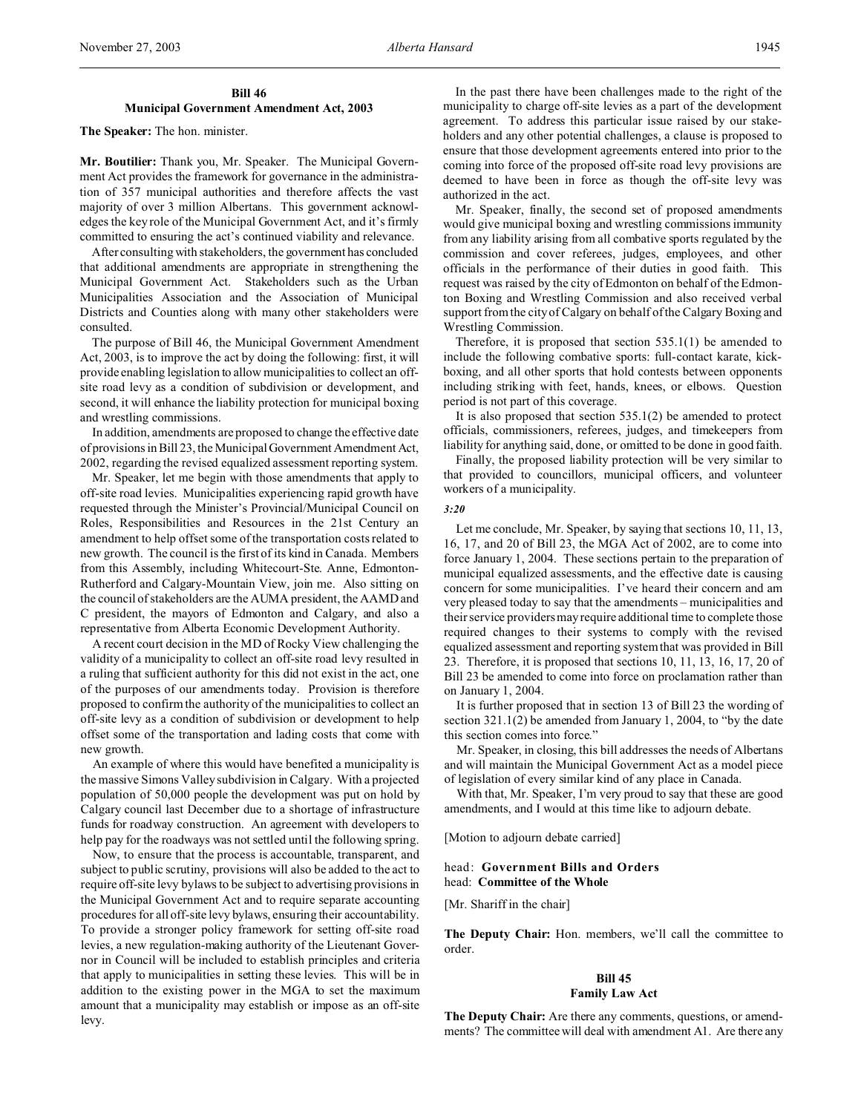# **Bill 46 Municipal Government Amendment Act, 2003**

#### **The Speaker:** The hon. minister.

**Mr. Boutilier:** Thank you, Mr. Speaker. The Municipal Government Act provides the framework for governance in the administration of 357 municipal authorities and therefore affects the vast majority of over 3 million Albertans. This government acknowledges the key role of the Municipal Government Act, and it's firmly committed to ensuring the act's continued viability and relevance.

After consulting with stakeholders, the government has concluded that additional amendments are appropriate in strengthening the Municipal Government Act. Stakeholders such as the Urban Municipalities Association and the Association of Municipal Districts and Counties along with many other stakeholders were consulted.

The purpose of Bill 46, the Municipal Government Amendment Act, 2003, is to improve the act by doing the following: first, it will provide enabling legislation to allow municipalities to collect an offsite road levy as a condition of subdivision or development, and second, it will enhance the liability protection for municipal boxing and wrestling commissions.

In addition, amendments are proposed to change the effective date of provisions in Bill 23, the MunicipalGovernment Amendment Act, 2002, regarding the revised equalized assessment reporting system.

Mr. Speaker, let me begin with those amendments that apply to off-site road levies. Municipalities experiencing rapid growth have requested through the Minister's Provincial/Municipal Council on Roles, Responsibilities and Resources in the 21st Century an amendment to help offset some of the transportation costs related to new growth. The council is the first of its kind in Canada. Members from this Assembly, including Whitecourt-Ste. Anne, Edmonton-Rutherford and Calgary-Mountain View, join me. Also sitting on the council of stakeholders are the AUMA president, the AAMD and C president, the mayors of Edmonton and Calgary, and also a representative from Alberta Economic Development Authority.

A recent court decision in the MD of Rocky View challenging the validity of a municipality to collect an off-site road levy resulted in a ruling that sufficient authority for this did not exist in the act, one of the purposes of our amendments today. Provision is therefore proposed to confirm the authority of the municipalities to collect an off-site levy as a condition of subdivision or development to help offset some of the transportation and lading costs that come with new growth.

An example of where this would have benefited a municipality is the massive Simons Valley subdivision in Calgary. With a projected population of 50,000 people the development was put on hold by Calgary council last December due to a shortage of infrastructure funds for roadway construction. An agreement with developers to help pay for the roadways was not settled until the following spring.

Now, to ensure that the process is accountable, transparent, and subject to public scrutiny, provisions will also be added to the act to require off-site levy bylaws to be subject to advertising provisions in the Municipal Government Act and to require separate accounting procedures for all off-site levy bylaws, ensuring their accountability. To provide a stronger policy framework for setting off-site road levies, a new regulation-making authority of the Lieutenant Governor in Council will be included to establish principles and criteria that apply to municipalities in setting these levies. This will be in addition to the existing power in the MGA to set the maximum amount that a municipality may establish or impose as an off-site levy.

In the past there have been challenges made to the right of the municipality to charge off-site levies as a part of the development agreement. To address this particular issue raised by our stakeholders and any other potential challenges, a clause is proposed to ensure that those development agreements entered into prior to the coming into force of the proposed off-site road levy provisions are deemed to have been in force as though the off-site levy was authorized in the act.

Mr. Speaker, finally, the second set of proposed amendments would give municipal boxing and wrestling commissions immunity from any liability arising from all combative sports regulated by the commission and cover referees, judges, employees, and other officials in the performance of their duties in good faith. This request was raised by the city of Edmonton on behalf of the Edmonton Boxing and Wrestling Commission and also received verbal support from the city of Calgary on behalf of the Calgary Boxing and Wrestling Commission.

Therefore, it is proposed that section 535.1(1) be amended to include the following combative sports: full-contact karate, kickboxing, and all other sports that hold contests between opponents including striking with feet, hands, knees, or elbows. Question period is not part of this coverage.

It is also proposed that section 535.1(2) be amended to protect officials, commissioners, referees, judges, and timekeepers from liability for anything said, done, or omitted to be done in good faith.

Finally, the proposed liability protection will be very similar to that provided to councillors, municipal officers, and volunteer workers of a municipality.

# *3:20*

Let me conclude, Mr. Speaker, by saying that sections 10, 11, 13, 16, 17, and 20 of Bill 23, the MGA Act of 2002, are to come into force January 1, 2004. These sections pertain to the preparation of municipal equalized assessments, and the effective date is causing concern for some municipalities. I've heard their concern and am very pleased today to say that the amendments – municipalities and their service providers may require additional time to complete those required changes to their systems to comply with the revised equalized assessment and reporting system that was provided in Bill 23. Therefore, it is proposed that sections 10, 11, 13, 16, 17, 20 of Bill 23 be amended to come into force on proclamation rather than on January 1, 2004.

It is further proposed that in section 13 of Bill 23 the wording of section 321.1(2) be amended from January 1, 2004, to "by the date this section comes into force."

Mr. Speaker, in closing, this bill addresses the needs of Albertans and will maintain the Municipal Government Act as a model piece of legislation of every similar kind of any place in Canada.

With that, Mr. Speaker, I'm very proud to say that these are good amendments, and I would at this time like to adjourn debate.

[Motion to adjourn debate carried]

# head: **Government Bills and Orders** head: **Committee of the Whole**

[Mr. Shariff in the chair]

**The Deputy Chair:** Hon. members, we'll call the committee to order.

# **Bill 45 Family Law Act**

**The Deputy Chair:** Are there any comments, questions, or amendments? The committee will deal with amendment A1. Are there any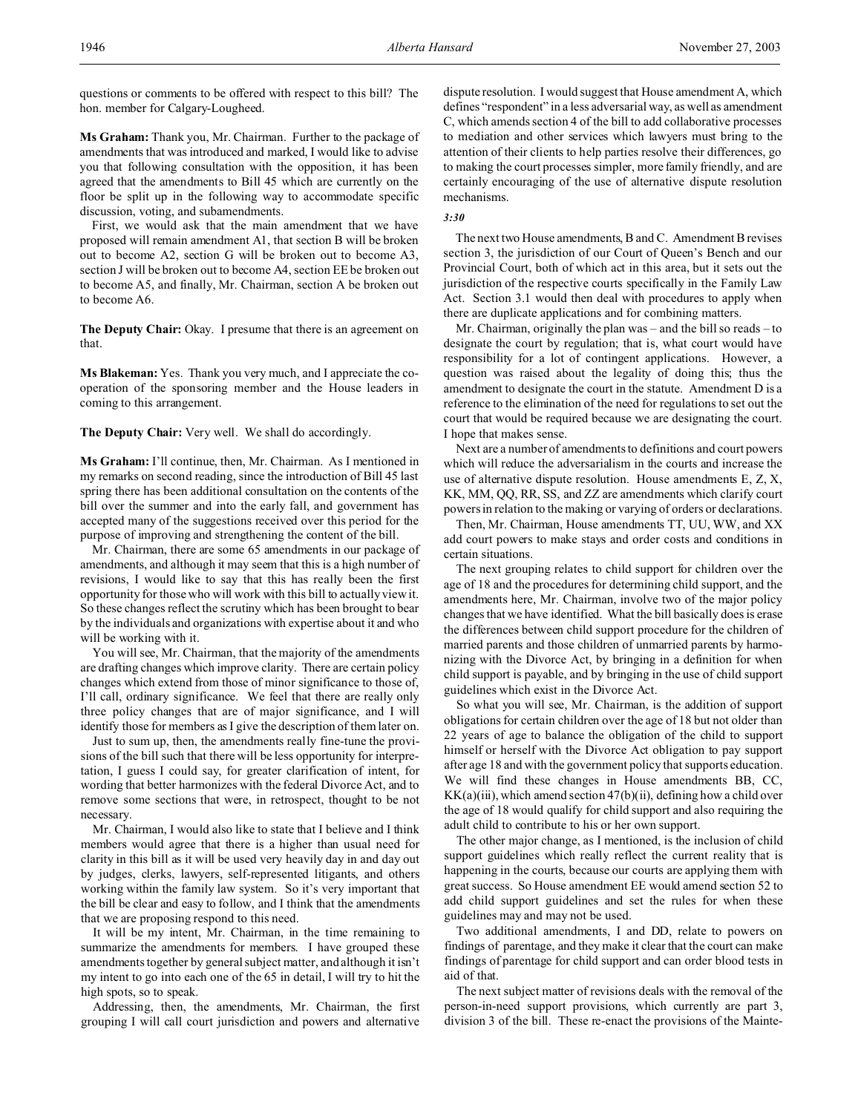questions or comments to be offered with respect to this bill? The hon. member for Calgary-Lougheed.

**Ms Graham:** Thank you, Mr. Chairman. Further to the package of amendments that was introduced and marked, I would like to advise you that following consultation with the opposition, it has been agreed that the amendments to Bill 45 which are currently on the floor be split up in the following way to accommodate specific discussion, voting, and subamendments.

First, we would ask that the main amendment that we have proposed will remain amendment A1, that section B will be broken out to become A2, section G will be broken out to become A3, section J will be broken out to become A4, section EE be broken out to become A5, and finally, Mr. Chairman, section A be broken out to become A6.

**The Deputy Chair:** Okay. I presume that there is an agreement on that.

**Ms Blakeman:** Yes. Thank you very much, and I appreciate the cooperation of the sponsoring member and the House leaders in coming to this arrangement.

**The Deputy Chair:** Very well. We shall do accordingly.

**Ms Graham:** I'll continue, then, Mr. Chairman. As I mentioned in my remarks on second reading, since the introduction of Bill 45 last spring there has been additional consultation on the contents of the bill over the summer and into the early fall, and government has accepted many of the suggestions received over this period for the purpose of improving and strengthening the content of the bill.

Mr. Chairman, there are some 65 amendments in our package of amendments, and although it may seem that this is a high number of revisions, I would like to say that this has really been the first opportunity for those who will work with this bill to actually view it. So these changes reflect the scrutiny which has been brought to bear by the individuals and organizations with expertise about it and who will be working with it.

You will see, Mr. Chairman, that the majority of the amendments are drafting changes which improve clarity. There are certain policy changes which extend from those of minor significance to those of, I'll call, ordinary significance. We feel that there are really only three policy changes that are of major significance, and I will identify those for members as I give the description of them later on.

Just to sum up, then, the amendments really fine-tune the provisions of the bill such that there will be less opportunity for interpretation, I guess I could say, for greater clarification of intent, for wording that better harmonizes with the federal Divorce Act, and to remove some sections that were, in retrospect, thought to be not necessary.

Mr. Chairman, I would also like to state that I believe and I think members would agree that there is a higher than usual need for clarity in this bill as it will be used very heavily day in and day out by judges, clerks, lawyers, self-represented litigants, and others working within the family law system. So it's very important that the bill be clear and easy to follow, and I think that the amendments that we are proposing respond to this need.

It will be my intent, Mr. Chairman, in the time remaining to summarize the amendments for members. I have grouped these amendments together by general subject matter, and although it isn't my intent to go into each one of the 65 in detail, I will try to hit the high spots, so to speak.

Addressing, then, the amendments, Mr. Chairman, the first grouping I will call court jurisdiction and powers and alternative

dispute resolution. I would suggest that House amendment A, which defines "respondent" in a less adversarial way, as well as amendment C, which amends section 4 of the bill to add collaborative processes to mediation and other services which lawyers must bring to the attention of their clients to help parties resolve their differences, go to making the court processes simpler, more family friendly, and are certainly encouraging of the use of alternative dispute resolution mechanisms.

*3:30*

The next two House amendments, B and C. Amendment B revises section 3, the jurisdiction of our Court of Queen's Bench and our Provincial Court, both of which act in this area, but it sets out the jurisdiction of the respective courts specifically in the Family Law Act. Section 3.1 would then deal with procedures to apply when there are duplicate applications and for combining matters.

Mr. Chairman, originally the plan was – and the bill so reads – to designate the court by regulation; that is, what court would have responsibility for a lot of contingent applications. However, a question was raised about the legality of doing this; thus the amendment to designate the court in the statute. Amendment D is a reference to the elimination of the need for regulations to set out the court that would be required because we are designating the court. I hope that makes sense.

Next are a number of amendments to definitions and court powers which will reduce the adversarialism in the courts and increase the use of alternative dispute resolution. House amendments E, Z, X, KK, MM, QQ, RR, SS, and ZZ are amendments which clarify court powers in relation to the making or varying of orders or declarations.

Then, Mr. Chairman, House amendments TT, UU, WW, and XX add court powers to make stays and order costs and conditions in certain situations.

The next grouping relates to child support for children over the age of 18 and the procedures for determining child support, and the amendments here, Mr. Chairman, involve two of the major policy changes that we have identified. What the bill basically does is erase the differences between child support procedure for the children of married parents and those children of unmarried parents by harmonizing with the Divorce Act, by bringing in a definition for when child support is payable, and by bringing in the use of child support guidelines which exist in the Divorce Act.

So what you will see, Mr. Chairman, is the addition of support obligations for certain children over the age of 18 but not older than 22 years of age to balance the obligation of the child to support himself or herself with the Divorce Act obligation to pay support after age 18 and with the government policy that supports education. We will find these changes in House amendments BB, CC,  $KK(a)(iii)$ , which amend section 47(b)(ii), defining how a child over the age of 18 would qualify for child support and also requiring the adult child to contribute to his or her own support.

The other major change, as I mentioned, is the inclusion of child support guidelines which really reflect the current reality that is happening in the courts, because our courts are applying them with great success. So House amendment EE would amend section 52 to add child support guidelines and set the rules for when these guidelines may and may not be used.

Two additional amendments, I and DD, relate to powers on findings of parentage, and they make it clear that the court can make findings of parentage for child support and can order blood tests in aid of that.

The next subject matter of revisions deals with the removal of the person-in-need support provisions, which currently are part 3, division 3 of the bill. These re-enact the provisions of the Mainte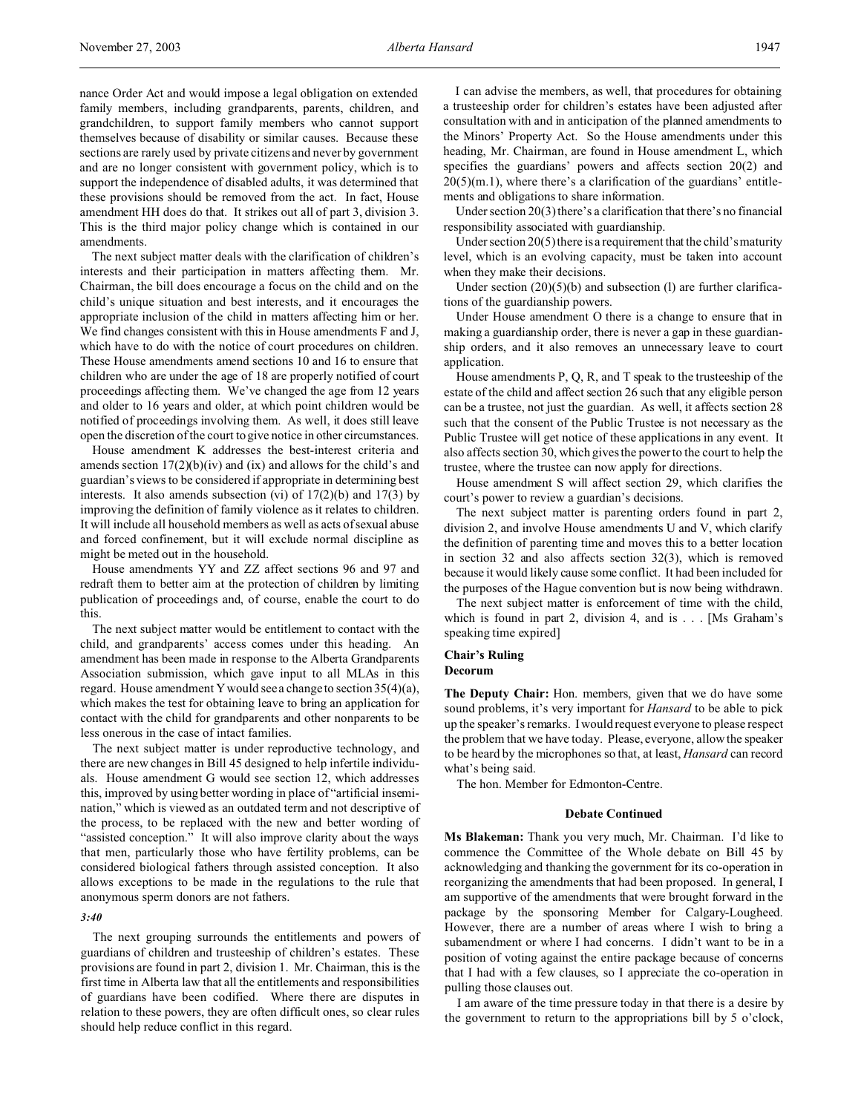nance Order Act and would impose a legal obligation on extended family members, including grandparents, parents, children, and grandchildren, to support family members who cannot support themselves because of disability or similar causes. Because these sections are rarely used by private citizens and never by government and are no longer consistent with government policy, which is to support the independence of disabled adults, it was determined that these provisions should be removed from the act. In fact, House amendment HH does do that. It strikes out all of part 3, division 3. This is the third major policy change which is contained in our amendments.

The next subject matter deals with the clarification of children's interests and their participation in matters affecting them. Mr. Chairman, the bill does encourage a focus on the child and on the child's unique situation and best interests, and it encourages the appropriate inclusion of the child in matters affecting him or her. We find changes consistent with this in House amendments F and J, which have to do with the notice of court procedures on children. These House amendments amend sections 10 and 16 to ensure that children who are under the age of 18 are properly notified of court proceedings affecting them. We've changed the age from 12 years and older to 16 years and older, at which point children would be notified of proceedings involving them. As well, it does still leave open the discretion of the court to give notice in other circumstances.

House amendment K addresses the best-interest criteria and amends section  $17(2)(b)(iv)$  and  $(ix)$  and allows for the child's and guardian's views to be considered if appropriate in determining best interests. It also amends subsection (vi) of  $17(2)(b)$  and  $17(3)$  by improving the definition of family violence as it relates to children. It will include all household members as well as acts of sexual abuse and forced confinement, but it will exclude normal discipline as might be meted out in the household.

House amendments YY and ZZ affect sections 96 and 97 and redraft them to better aim at the protection of children by limiting publication of proceedings and, of course, enable the court to do this.

The next subject matter would be entitlement to contact with the child, and grandparents' access comes under this heading. An amendment has been made in response to the Alberta Grandparents Association submission, which gave input to all MLAs in this regard. House amendment Y would see a change to section 35(4)(a), which makes the test for obtaining leave to bring an application for contact with the child for grandparents and other nonparents to be less onerous in the case of intact families.

The next subject matter is under reproductive technology, and there are new changes in Bill 45 designed to help infertile individuals. House amendment G would see section 12, which addresses this, improved by using better wording in place of "artificial insemination," which is viewed as an outdated term and not descriptive of the process, to be replaced with the new and better wording of "assisted conception." It will also improve clarity about the ways that men, particularly those who have fertility problems, can be considered biological fathers through assisted conception. It also allows exceptions to be made in the regulations to the rule that anonymous sperm donors are not fathers.

#### *3:40*

The next grouping surrounds the entitlements and powers of guardians of children and trusteeship of children's estates. These provisions are found in part 2, division 1. Mr. Chairman, this is the first time in Alberta law that all the entitlements and responsibilities of guardians have been codified. Where there are disputes in relation to these powers, they are often difficult ones, so clear rules should help reduce conflict in this regard.

I can advise the members, as well, that procedures for obtaining a trusteeship order for children's estates have been adjusted after consultation with and in anticipation of the planned amendments to the Minors' Property Act. So the House amendments under this heading, Mr. Chairman, are found in House amendment L, which specifies the guardians' powers and affects section 20(2) and  $20(5)(m.1)$ , where there's a clarification of the guardians' entitlements and obligations to share information.

Under section 20(3) there's a clarification that there's no financial responsibility associated with guardianship.

Under section 20(5) there is a requirement that the child's maturity level, which is an evolving capacity, must be taken into account when they make their decisions.

Under section (20)(5)(b) and subsection (l) are further clarifications of the guardianship powers.

Under House amendment O there is a change to ensure that in making a guardianship order, there is never a gap in these guardianship orders, and it also removes an unnecessary leave to court application.

House amendments P, Q, R, and T speak to the trusteeship of the estate of the child and affect section 26 such that any eligible person can be a trustee, not just the guardian. As well, it affects section 28 such that the consent of the Public Trustee is not necessary as the Public Trustee will get notice of these applications in any event. It also affects section 30, which gives the power to the court to help the trustee, where the trustee can now apply for directions.

House amendment S will affect section 29, which clarifies the court's power to review a guardian's decisions.

The next subject matter is parenting orders found in part 2, division 2, and involve House amendments U and V, which clarify the definition of parenting time and moves this to a better location in section 32 and also affects section 32(3), which is removed because it would likely cause some conflict. It had been included for the purposes of the Hague convention but is now being withdrawn.

The next subject matter is enforcement of time with the child, which is found in part 2, division 4, and is . . . [Ms Graham's speaking time expired]

# **Chair's Ruling**

**Decorum**

**The Deputy Chair:** Hon. members, given that we do have some sound problems, it's very important for *Hansard* to be able to pick up the speaker's remarks. I would request everyone to please respect the problem that we have today. Please, everyone, allow the speaker to be heard by the microphones so that, at least, *Hansard* can record what's being said.

The hon. Member for Edmonton-Centre.

#### **Debate Continued**

**Ms Blakeman:** Thank you very much, Mr. Chairman. I'd like to commence the Committee of the Whole debate on Bill 45 by acknowledging and thanking the government for its co-operation in reorganizing the amendments that had been proposed. In general, I am supportive of the amendments that were brought forward in the package by the sponsoring Member for Calgary-Lougheed. However, there are a number of areas where I wish to bring a subamendment or where I had concerns. I didn't want to be in a position of voting against the entire package because of concerns that I had with a few clauses, so I appreciate the co-operation in pulling those clauses out.

I am aware of the time pressure today in that there is a desire by the government to return to the appropriations bill by 5 o'clock,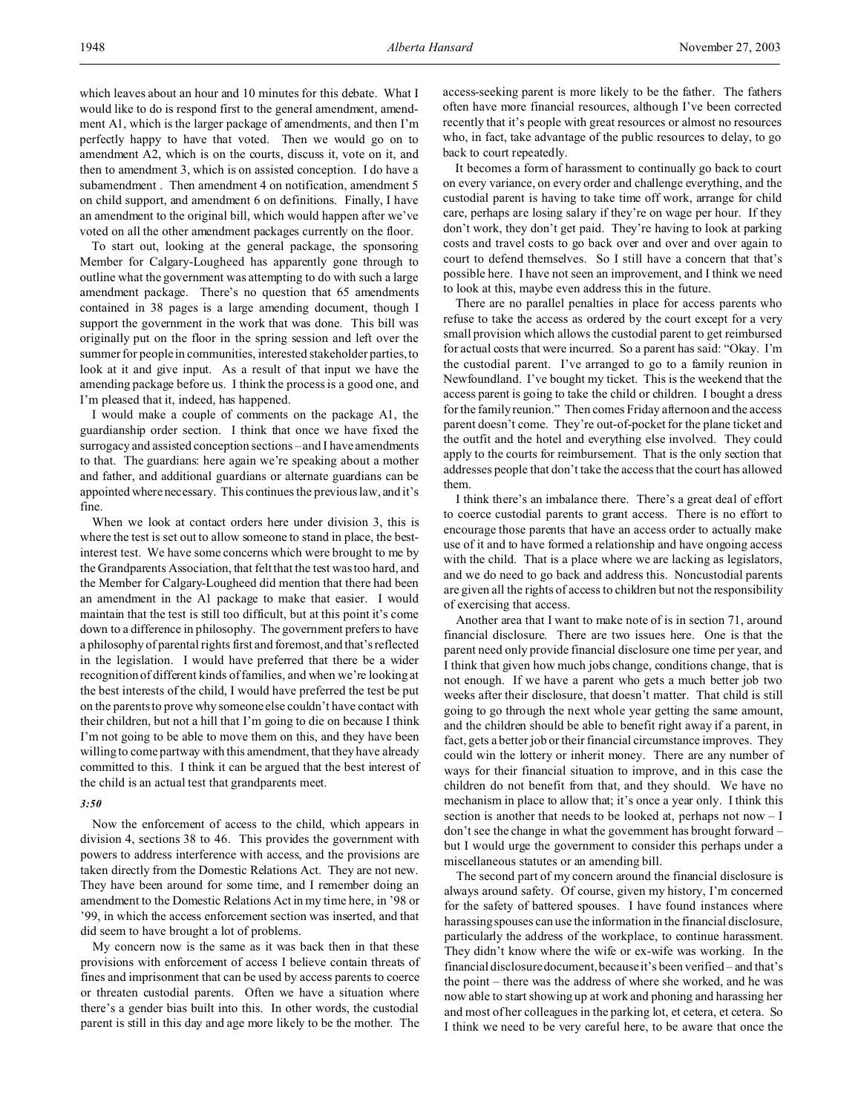which leaves about an hour and 10 minutes for this debate. What I would like to do is respond first to the general amendment, amendment A1, which is the larger package of amendments, and then I'm perfectly happy to have that voted. Then we would go on to amendment A2, which is on the courts, discuss it, vote on it, and then to amendment 3, which is on assisted conception. I do have a subamendment. Then amendment 4 on notification, amendment 5 on child support, and amendment 6 on definitions. Finally, I have an amendment to the original bill, which would happen after we've voted on all the other amendment packages currently on the floor.

To start out, looking at the general package, the sponsoring Member for Calgary-Lougheed has apparently gone through to outline what the government was attempting to do with such a large amendment package. There's no question that 65 amendments contained in 38 pages is a large amending document, though I support the government in the work that was done. This bill was originally put on the floor in the spring session and left over the summer for people in communities, interested stakeholder parties, to look at it and give input. As a result of that input we have the amending package before us. I think the process is a good one, and I'm pleased that it, indeed, has happened.

I would make a couple of comments on the package A1, the guardianship order section. I think that once we have fixed the surrogacy and assisted conception sections – and I have amendments to that. The guardians: here again we're speaking about a mother and father, and additional guardians or alternate guardians can be appointed where necessary. This continues the previous law, and it's fine.

When we look at contact orders here under division 3, this is where the test is set out to allow someone to stand in place, the bestinterest test. We have some concerns which were brought to me by the Grandparents Association, that felt that the test was too hard, and the Member for Calgary-Lougheed did mention that there had been an amendment in the A1 package to make that easier. I would maintain that the test is still too difficult, but at this point it's come down to a difference in philosophy. The government prefers to have a philosophy of parental rights first and foremost, and that's reflected in the legislation. I would have preferred that there be a wider recognition of different kinds of families, and when we're looking at the best interests of the child, I would have preferred the test be put on the parents to prove why someone else couldn't have contact with their children, but not a hill that I'm going to die on because I think I'm not going to be able to move them on this, and they have been willing to come partway with this amendment, that they have already committed to this. I think it can be argued that the best interest of the child is an actual test that grandparents meet.

#### *3:50*

Now the enforcement of access to the child, which appears in division 4, sections 38 to 46. This provides the government with powers to address interference with access, and the provisions are taken directly from the Domestic Relations Act. They are not new. They have been around for some time, and I remember doing an amendment to the Domestic Relations Act in my time here, in '98 or '99, in which the access enforcement section was inserted, and that did seem to have brought a lot of problems.

My concern now is the same as it was back then in that these provisions with enforcement of access I believe contain threats of fines and imprisonment that can be used by access parents to coerce or threaten custodial parents. Often we have a situation where there's a gender bias built into this. In other words, the custodial parent is still in this day and age more likely to be the mother. The

access-seeking parent is more likely to be the father. The fathers often have more financial resources, although I've been corrected recently that it's people with great resources or almost no resources who, in fact, take advantage of the public resources to delay, to go back to court repeatedly.

It becomes a form of harassment to continually go back to court on every variance, on every order and challenge everything, and the custodial parent is having to take time off work, arrange for child care, perhaps are losing salary if they're on wage per hour. If they don't work, they don't get paid. They're having to look at parking costs and travel costs to go back over and over and over again to court to defend themselves. So I still have a concern that that's possible here. I have not seen an improvement, and I think we need to look at this, maybe even address this in the future.

There are no parallel penalties in place for access parents who refuse to take the access as ordered by the court except for a very small provision which allows the custodial parent to get reimbursed for actual costs that were incurred. So a parent has said: "Okay. I'm the custodial parent. I've arranged to go to a family reunion in Newfoundland. I've bought my ticket. This is the weekend that the access parent is going to take the child or children. I bought a dress for the family reunion." Then comes Friday afternoon and the access parent doesn't come. They're out-of-pocket for the plane ticket and the outfit and the hotel and everything else involved. They could apply to the courts for reimbursement. That is the only section that addresses people that don't take the access that the court has allowed them.

I think there's an imbalance there. There's a great deal of effort to coerce custodial parents to grant access. There is no effort to encourage those parents that have an access order to actually make use of it and to have formed a relationship and have ongoing access with the child. That is a place where we are lacking as legislators, and we do need to go back and address this. Noncustodial parents are given all the rights of access to children but not the responsibility of exercising that access.

Another area that I want to make note of is in section 71, around financial disclosure. There are two issues here. One is that the parent need only provide financial disclosure one time per year, and I think that given how much jobs change, conditions change, that is not enough. If we have a parent who gets a much better job two weeks after their disclosure, that doesn't matter. That child is still going to go through the next whole year getting the same amount, and the children should be able to benefit right away if a parent, in fact, gets a better job or their financial circumstance improves. They could win the lottery or inherit money. There are any number of ways for their financial situation to improve, and in this case the children do not benefit from that, and they should. We have no mechanism in place to allow that; it's once a year only. I think this section is another that needs to be looked at, perhaps not now – I don't see the change in what the government has brought forward – but I would urge the government to consider this perhaps under a miscellaneous statutes or an amending bill.

The second part of my concern around the financial disclosure is always around safety. Of course, given my history, I'm concerned for the safety of battered spouses. I have found instances where harassing spouses can use the information in the financial disclosure, particularly the address of the workplace, to continue harassment. They didn't know where the wife or ex-wife was working. In the financial disclosure document, because it's been verified – and that's the point – there was the address of where she worked, and he was now able to start showing up at work and phoning and harassing her and most of her colleagues in the parking lot, et cetera, et cetera. So I think we need to be very careful here, to be aware that once the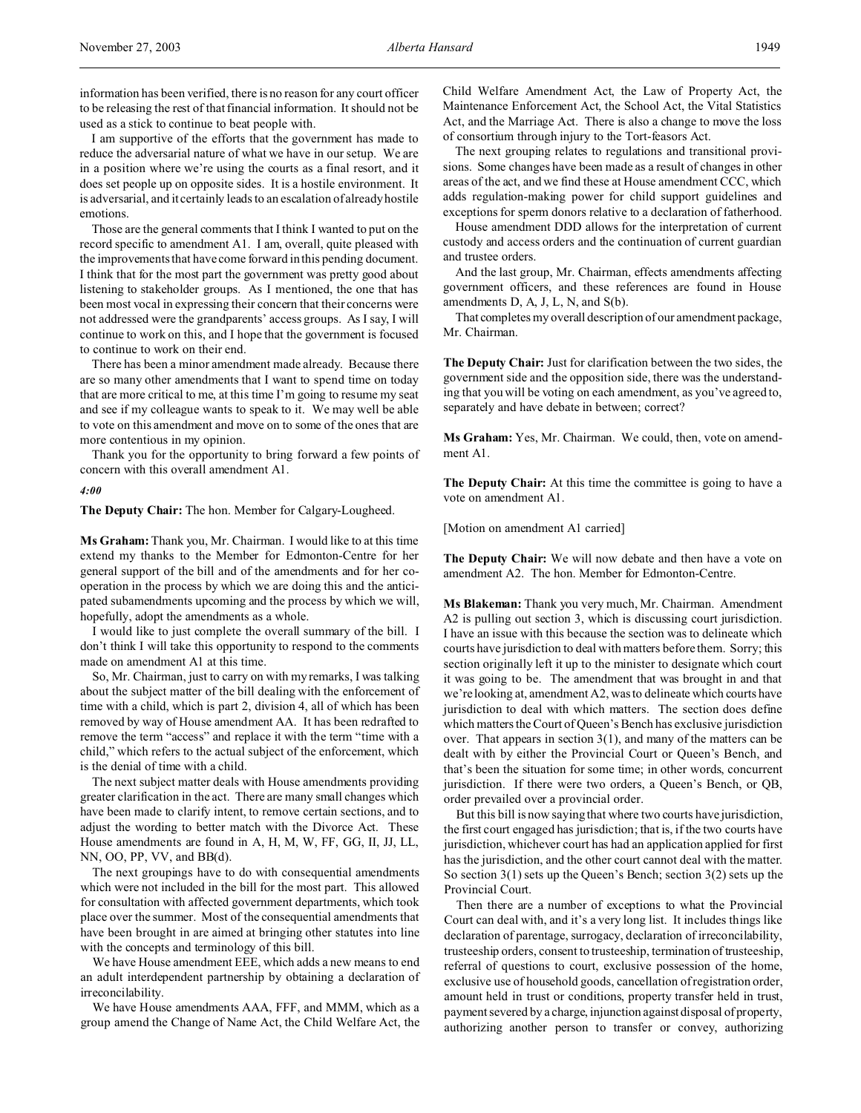I am supportive of the efforts that the government has made to reduce the adversarial nature of what we have in our setup. We are in a position where we're using the courts as a final resort, and it does set people up on opposite sides. It is a hostile environment. It is adversarial, and it certainly leads to an escalation of already hostile emotions.

Those are the general comments that I think I wanted to put on the record specific to amendment A1. I am, overall, quite pleased with the improvements that have come forward in this pending document. I think that for the most part the government was pretty good about listening to stakeholder groups. As I mentioned, the one that has been most vocal in expressing their concern that their concerns were not addressed were the grandparents' access groups. As I say, I will continue to work on this, and I hope that the government is focused to continue to work on their end.

There has been a minor amendment made already. Because there are so many other amendments that I want to spend time on today that are more critical to me, at this time I'm going to resume my seat and see if my colleague wants to speak to it. We may well be able to vote on this amendment and move on to some of the ones that are more contentious in my opinion.

Thank you for the opportunity to bring forward a few points of concern with this overall amendment A1.

#### *4:00*

**The Deputy Chair:** The hon. Member for Calgary-Lougheed.

**Ms Graham:** Thank you, Mr. Chairman. I would like to at this time extend my thanks to the Member for Edmonton-Centre for her general support of the bill and of the amendments and for her cooperation in the process by which we are doing this and the anticipated subamendments upcoming and the process by which we will, hopefully, adopt the amendments as a whole.

I would like to just complete the overall summary of the bill. I don't think I will take this opportunity to respond to the comments made on amendment A1 at this time.

So, Mr. Chairman, just to carry on with my remarks, I was talking about the subject matter of the bill dealing with the enforcement of time with a child, which is part 2, division 4, all of which has been removed by way of House amendment AA. It has been redrafted to remove the term "access" and replace it with the term "time with a child," which refers to the actual subject of the enforcement, which is the denial of time with a child.

The next subject matter deals with House amendments providing greater clarification in the act. There are many small changes which have been made to clarify intent, to remove certain sections, and to adjust the wording to better match with the Divorce Act. These House amendments are found in A, H, M, W, FF, GG, II, JJ, LL, NN, OO, PP, VV, and BB(d).

The next groupings have to do with consequential amendments which were not included in the bill for the most part. This allowed for consultation with affected government departments, which took place over the summer. Most of the consequential amendments that have been brought in are aimed at bringing other statutes into line with the concepts and terminology of this bill.

We have House amendment EEE, which adds a new means to end an adult interdependent partnership by obtaining a declaration of irreconcilability.

We have House amendments AAA, FFF, and MMM, which as a group amend the Change of Name Act, the Child Welfare Act, the Child Welfare Amendment Act, the Law of Property Act, the Maintenance Enforcement Act, the School Act, the Vital Statistics Act, and the Marriage Act. There is also a change to move the loss of consortium through injury to the Tort-feasors Act.

The next grouping relates to regulations and transitional provisions. Some changes have been made as a result of changes in other areas of the act, and we find these at House amendment CCC, which adds regulation-making power for child support guidelines and exceptions for sperm donors relative to a declaration of fatherhood.

House amendment DDD allows for the interpretation of current custody and access orders and the continuation of current guardian and trustee orders.

And the last group, Mr. Chairman, effects amendments affecting government officers, and these references are found in House amendments D, A, J, L, N, and S(b).

That completes my overall description of our amendment package, Mr. Chairman.

**The Deputy Chair:** Just for clarification between the two sides, the government side and the opposition side, there was the understanding that you will be voting on each amendment, as you've agreed to, separately and have debate in between; correct?

**Ms Graham:** Yes, Mr. Chairman. We could, then, vote on amendment A1.

**The Deputy Chair:** At this time the committee is going to have a vote on amendment A1.

[Motion on amendment A1 carried]

**The Deputy Chair:** We will now debate and then have a vote on amendment A2. The hon. Member for Edmonton-Centre.

**Ms Blakeman:** Thank you very much, Mr. Chairman. Amendment A2 is pulling out section 3, which is discussing court jurisdiction. I have an issue with this because the section was to delineate which courts have jurisdiction to deal with matters before them. Sorry; this section originally left it up to the minister to designate which court it was going to be. The amendment that was brought in and that we're looking at, amendment A2, was to delineate which courts have jurisdiction to deal with which matters. The section does define which matters the Court of Queen's Bench has exclusive jurisdiction over. That appears in section 3(1), and many of the matters can be dealt with by either the Provincial Court or Queen's Bench, and that's been the situation for some time; in other words, concurrent jurisdiction. If there were two orders, a Queen's Bench, or QB, order prevailed over a provincial order.

But this bill is now saying that where two courts have jurisdiction, the first court engaged has jurisdiction; that is, if the two courts have jurisdiction, whichever court has had an application applied for first has the jurisdiction, and the other court cannot deal with the matter. So section 3(1) sets up the Queen's Bench; section 3(2) sets up the Provincial Court.

Then there are a number of exceptions to what the Provincial Court can deal with, and it's a very long list. It includes things like declaration of parentage, surrogacy, declaration of irreconcilability, trusteeship orders, consent to trusteeship, termination of trusteeship, referral of questions to court, exclusive possession of the home, exclusive use of household goods, cancellation of registration order, amount held in trust or conditions, property transfer held in trust, payment severed by a charge, injunction against disposal of property, authorizing another person to transfer or convey, authorizing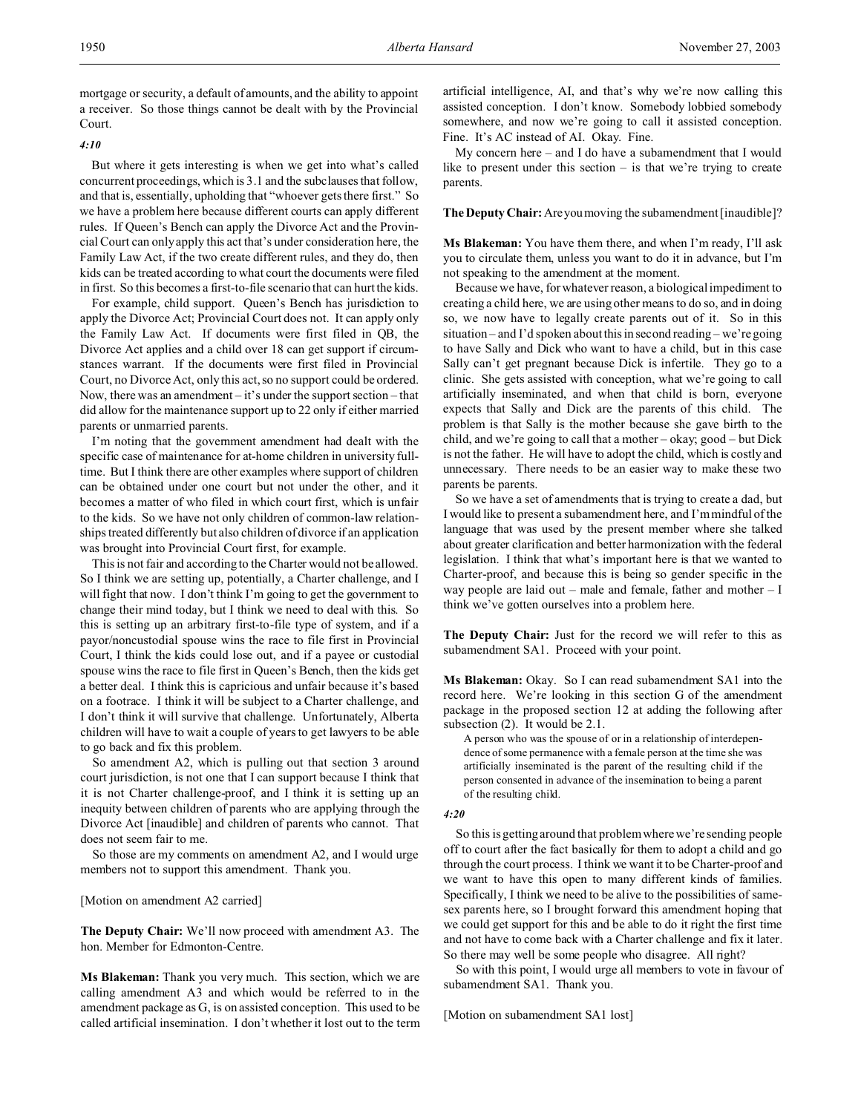mortgage or security, a default of amounts, and the ability to appoint a receiver. So those things cannot be dealt with by the Provincial Court.

#### *4:10*

But where it gets interesting is when we get into what's called concurrent proceedings, which is 3.1 and the subclauses that follow, and that is, essentially, upholding that "whoever gets there first." So we have a problem here because different courts can apply different rules. If Queen's Bench can apply the Divorce Act and the Provincial Court can only apply this act that's under consideration here, the Family Law Act, if the two create different rules, and they do, then kids can be treated according to what court the documents were filed in first. So this becomes a first-to-file scenario that can hurt the kids.

For example, child support. Queen's Bench has jurisdiction to apply the Divorce Act; Provincial Court does not. It can apply only the Family Law Act. If documents were first filed in QB, the Divorce Act applies and a child over 18 can get support if circumstances warrant. If the documents were first filed in Provincial Court, no Divorce Act, only this act, so no support could be ordered. Now, there was an amendment  $-$  it's under the support section  $-$  that did allow for the maintenance support up to 22 only if either married parents or unmarried parents.

I'm noting that the government amendment had dealt with the specific case of maintenance for at-home children in university fulltime. But I think there are other examples where support of children can be obtained under one court but not under the other, and it becomes a matter of who filed in which court first, which is unfair to the kids. So we have not only children of common-law relationships treated differently but also children of divorce if an application was brought into Provincial Court first, for example.

This is not fair and according to the Charter would not be allowed. So I think we are setting up, potentially, a Charter challenge, and I will fight that now. I don't think I'm going to get the government to change their mind today, but I think we need to deal with this. So this is setting up an arbitrary first-to-file type of system, and if a payor/noncustodial spouse wins the race to file first in Provincial Court, I think the kids could lose out, and if a payee or custodial spouse wins the race to file first in Queen's Bench, then the kids get a better deal. I think this is capricious and unfair because it's based on a footrace. I think it will be subject to a Charter challenge, and I don't think it will survive that challenge. Unfortunately, Alberta children will have to wait a couple of years to get lawyers to be able to go back and fix this problem.

So amendment A2, which is pulling out that section 3 around court jurisdiction, is not one that I can support because I think that it is not Charter challenge-proof, and I think it is setting up an inequity between children of parents who are applying through the Divorce Act [inaudible] and children of parents who cannot. That does not seem fair to me.

So those are my comments on amendment A2, and I would urge members not to support this amendment. Thank you.

#### [Motion on amendment A2 carried]

**The Deputy Chair:** We'll now proceed with amendment A3. The hon. Member for Edmonton-Centre.

**Ms Blakeman:** Thank you very much. This section, which we are calling amendment A3 and which would be referred to in the amendment package as G, is on assisted conception. This used to be called artificial insemination. I don't whether it lost out to the term

artificial intelligence, AI, and that's why we're now calling this assisted conception. I don't know. Somebody lobbied somebody somewhere, and now we're going to call it assisted conception. Fine. It's AC instead of AI. Okay. Fine.

My concern here – and I do have a subamendment that I would like to present under this section  $-$  is that we're trying to create parents.

**The Deputy Chair:**Areyoumoving the subamendment [inaudible]?

**Ms Blakeman:** You have them there, and when I'm ready, I'll ask you to circulate them, unless you want to do it in advance, but I'm not speaking to the amendment at the moment.

Because we have, for whatever reason, a biological impediment to creating a child here, we are using other means to do so, and in doing so, we now have to legally create parents out of it. So in this situation – and I'd spoken about this in second reading – we're going to have Sally and Dick who want to have a child, but in this case Sally can't get pregnant because Dick is infertile. They go to a clinic. She gets assisted with conception, what we're going to call artificially inseminated, and when that child is born, everyone expects that Sally and Dick are the parents of this child. The problem is that Sally is the mother because she gave birth to the child, and we're going to call that a mother – okay; good – but Dick is not the father. He will have to adopt the child, which is costly and unnecessary. There needs to be an easier way to make these two parents be parents.

So we have a set of amendments that is trying to create a dad, but I would like to present a subamendment here, and I'm mindful of the language that was used by the present member where she talked about greater clarification and better harmonization with the federal legislation. I think that what's important here is that we wanted to Charter-proof, and because this is being so gender specific in the way people are laid out – male and female, father and mother – I think we've gotten ourselves into a problem here.

**The Deputy Chair:** Just for the record we will refer to this as subamendment SA1. Proceed with your point.

**Ms Blakeman:** Okay. So I can read subamendment SA1 into the record here. We're looking in this section G of the amendment package in the proposed section 12 at adding the following after subsection (2). It would be 2.1.

A person who was the spouse of or in a relationship of interdependence of some permanence with a female person at the time she was artificially inseminated is the parent of the resulting child if the person consented in advance of the insemination to being a parent of the resulting child.

#### *4:20*

So this is getting around that problem where we're sending people off to court after the fact basically for them to adopt a child and go through the court process. I think we want it to be Charter-proof and we want to have this open to many different kinds of families. Specifically, I think we need to be alive to the possibilities of samesex parents here, so I brought forward this amendment hoping that we could get support for this and be able to do it right the first time and not have to come back with a Charter challenge and fix it later. So there may well be some people who disagree. All right?

So with this point, I would urge all members to vote in favour of subamendment SA1. Thank you.

[Motion on subamendment SA1 lost]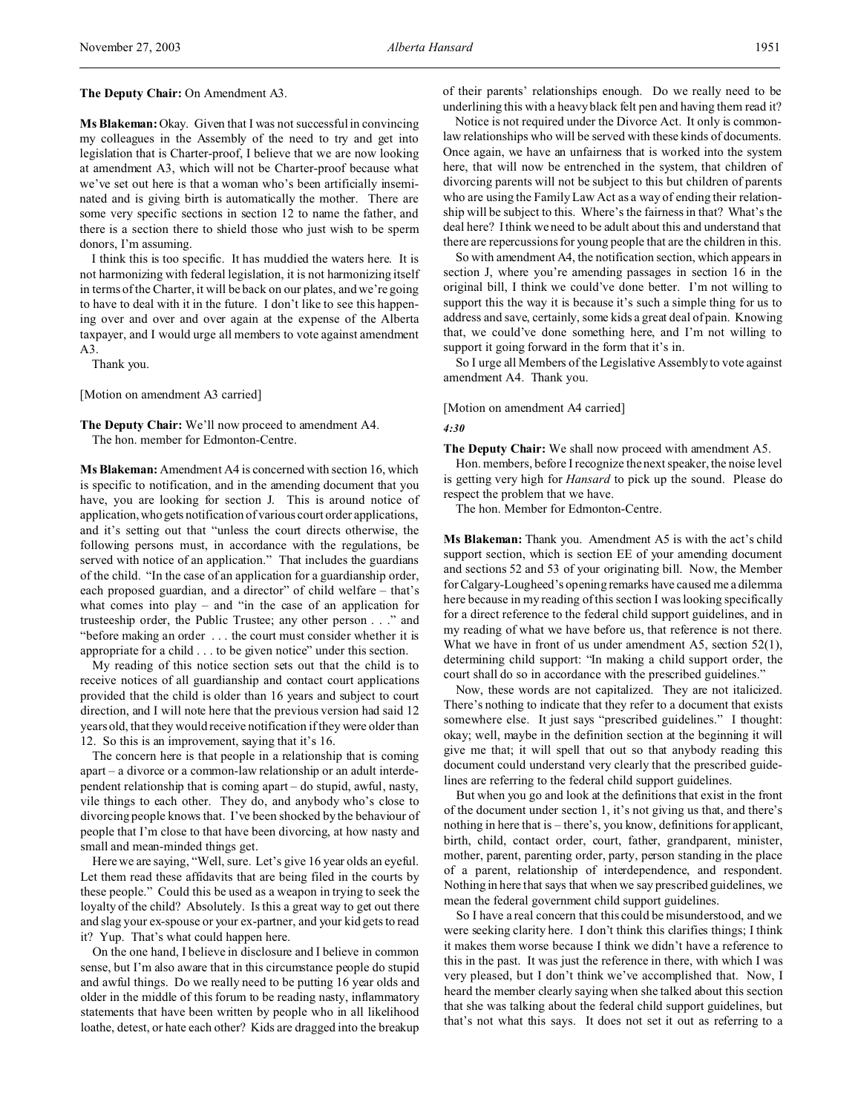**Ms Blakeman:** Okay. Given that I was not successful in convincing my colleagues in the Assembly of the need to try and get into legislation that is Charter-proof, I believe that we are now looking at amendment A3, which will not be Charter-proof because what we've set out here is that a woman who's been artificially inseminated and is giving birth is automatically the mother. There are some very specific sections in section 12 to name the father, and there is a section there to shield those who just wish to be sperm donors, I'm assuming.

I think this is too specific. It has muddied the waters here. It is not harmonizing with federal legislation, it is not harmonizing itself in terms of the Charter, it will be back on our plates, and we're going to have to deal with it in the future. I don't like to see this happening over and over and over again at the expense of the Alberta taxpayer, and I would urge all members to vote against amendment A3.

Thank you.

[Motion on amendment A3 carried]

**The Deputy Chair:** We'll now proceed to amendment A4. The hon. member for Edmonton-Centre.

**Ms Blakeman:** Amendment A4 is concerned with section 16, which is specific to notification, and in the amending document that you have, you are looking for section J. This is around notice of application,whogets notification of various court order applications, and it's setting out that "unless the court directs otherwise, the following persons must, in accordance with the regulations, be served with notice of an application." That includes the guardians of the child. "In the case of an application for a guardianship order, each proposed guardian, and a director" of child welfare – that's what comes into play – and "in the case of an application for trusteeship order, the Public Trustee; any other person . . ." and "before making an order . . . the court must consider whether it is appropriate for a child . . . to be given notice" under this section.

My reading of this notice section sets out that the child is to receive notices of all guardianship and contact court applications provided that the child is older than 16 years and subject to court direction, and I will note here that the previous version had said 12 years old, that they would receive notification if they were older than 12. So this is an improvement, saying that it's 16.

The concern here is that people in a relationship that is coming apart – a divorce or a common-law relationship or an adult interdependent relationship that is coming apart – do stupid, awful, nasty, vile things to each other. They do, and anybody who's close to divorcing people knows that. I've been shocked by the behaviour of people that I'm close to that have been divorcing, at how nasty and small and mean-minded things get.

Here we are saying, "Well, sure. Let's give 16 year olds an eyeful. Let them read these affidavits that are being filed in the courts by these people." Could this be used as a weapon in trying to seek the loyalty of the child? Absolutely. Is this a great way to get out there and slag your ex-spouse or your ex-partner, and your kid gets to read it? Yup. That's what could happen here.

On the one hand, I believe in disclosure and I believe in common sense, but I'm also aware that in this circumstance people do stupid and awful things. Do we really need to be putting 16 year olds and older in the middle of this forum to be reading nasty, inflammatory statements that have been written by people who in all likelihood loathe, detest, or hate each other? Kids are dragged into the breakup

of their parents' relationships enough. Do we really need to be underlining this with a heavy black felt pen and having them read it?

Notice is not required under the Divorce Act. It only is commonlaw relationships who will be served with these kinds of documents. Once again, we have an unfairness that is worked into the system here, that will now be entrenched in the system, that children of divorcing parents will not be subject to this but children of parents who are using the Family Law Act as a way of ending their relationship will be subject to this. Where's the fairness in that? What's the deal here? I think we need to be adult about this and understand that there are repercussions for young people that are the children in this.

So with amendment A4, the notification section, which appears in section J, where you're amending passages in section 16 in the original bill, I think we could've done better. I'm not willing to support this the way it is because it's such a simple thing for us to address and save, certainly, some kids a great deal of pain. Knowing that, we could've done something here, and I'm not willing to support it going forward in the form that it's in.

So I urge all Members of the Legislative Assembly to vote against amendment A4. Thank you.

# [Motion on amendment A4 carried]

#### *4:30*

**The Deputy Chair:** We shall now proceed with amendment A5.

Hon. members, before I recognize the next speaker, the noise level is getting very high for *Hansard* to pick up the sound. Please do respect the problem that we have.

The hon. Member for Edmonton-Centre.

**Ms Blakeman:** Thank you. Amendment A5 is with the act's child support section, which is section EE of your amending document and sections 52 and 53 of your originating bill. Now, the Member for Calgary-Lougheed's opening remarks have caused me a dilemma here because in my reading of this section I was looking specifically for a direct reference to the federal child support guidelines, and in my reading of what we have before us, that reference is not there. What we have in front of us under amendment A5, section 52(1), determining child support: "In making a child support order, the court shall do so in accordance with the prescribed guidelines."

Now, these words are not capitalized. They are not italicized. There's nothing to indicate that they refer to a document that exists somewhere else. It just says "prescribed guidelines." I thought: okay; well, maybe in the definition section at the beginning it will give me that; it will spell that out so that anybody reading this document could understand very clearly that the prescribed guidelines are referring to the federal child support guidelines.

But when you go and look at the definitions that exist in the front of the document under section 1, it's not giving us that, and there's nothing in here that is – there's, you know, definitions for applicant, birth, child, contact order, court, father, grandparent, minister, mother, parent, parenting order, party, person standing in the place of a parent, relationship of interdependence, and respondent. Nothing in here that says that when we say prescribed guidelines, we mean the federal government child support guidelines.

So I have a real concern that this could be misunderstood, and we were seeking clarity here. I don't think this clarifies things; I think it makes them worse because I think we didn't have a reference to this in the past. It was just the reference in there, with which I was very pleased, but I don't think we've accomplished that. Now, I heard the member clearly saying when she talked about this section that she was talking about the federal child support guidelines, but that's not what this says. It does not set it out as referring to a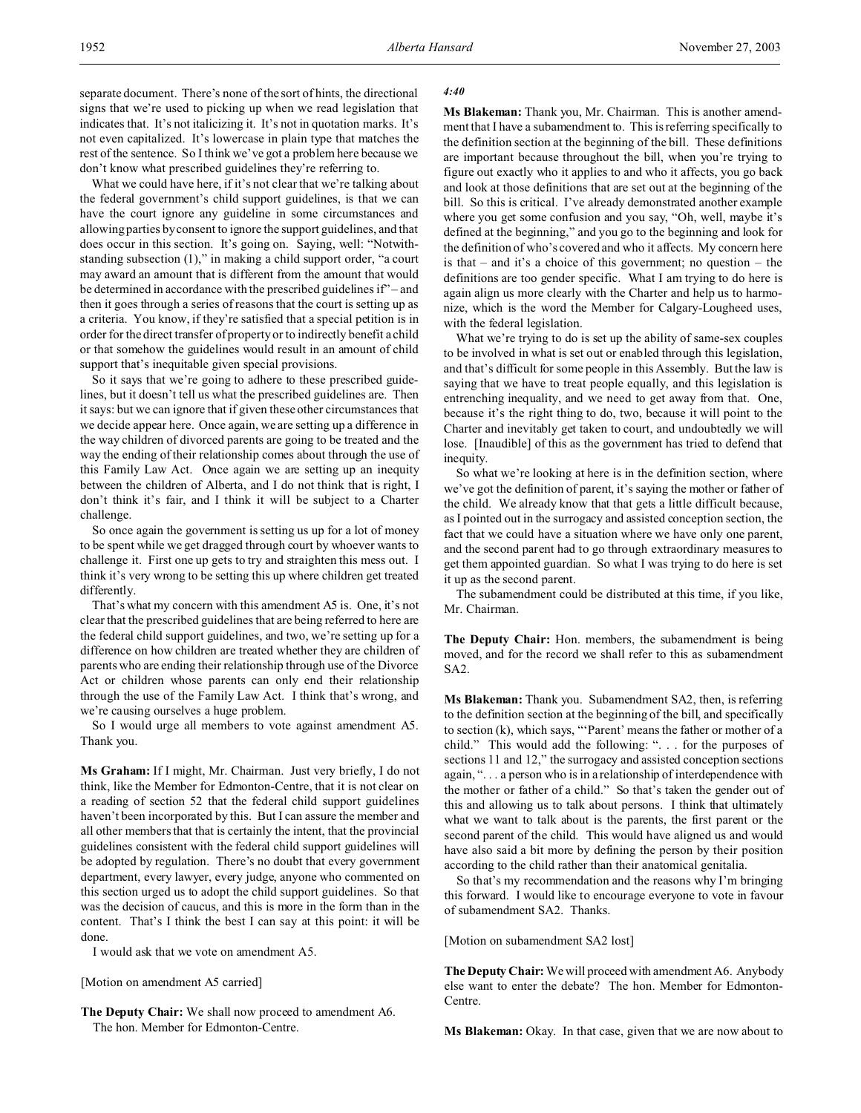separate document. There's none of the sort of hints, the directional signs that we're used to picking up when we read legislation that indicates that. It's not italicizing it. It's not in quotation marks. It's not even capitalized. It's lowercase in plain type that matches the rest of the sentence. So I think we've got a problem here because we don't know what prescribed guidelines they're referring to.

What we could have here, if it's not clear that we're talking about the federal government's child support guidelines, is that we can have the court ignore any guideline in some circumstances and allowing parties by consent to ignore the support guidelines, and that does occur in this section. It's going on. Saying, well: "Notwithstanding subsection (1)," in making a child support order, "a court may award an amount that is different from the amount that would be determined in accordance with the prescribed guidelines if" – and then it goes through a series of reasons that the court is setting up as a criteria. You know, if they're satisfied that a special petition is in order for the direct transfer of property or to indirectly benefit a child or that somehow the guidelines would result in an amount of child support that's inequitable given special provisions.

So it says that we're going to adhere to these prescribed guidelines, but it doesn't tell us what the prescribed guidelines are. Then it says: but we can ignore that if given these other circumstances that we decide appear here. Once again, we are setting up a difference in the way children of divorced parents are going to be treated and the way the ending of their relationship comes about through the use of this Family Law Act. Once again we are setting up an inequity between the children of Alberta, and I do not think that is right, I don't think it's fair, and I think it will be subject to a Charter challenge.

So once again the government is setting us up for a lot of money to be spent while we get dragged through court by whoever wants to challenge it. First one up gets to try and straighten this mess out. I think it's very wrong to be setting this up where children get treated differently.

That's what my concern with this amendment A5 is. One, it's not clear that the prescribed guidelines that are being referred to here are the federal child support guidelines, and two, we're setting up for a difference on how children are treated whether they are children of parents who are ending their relationship through use of the Divorce Act or children whose parents can only end their relationship through the use of the Family Law Act. I think that's wrong, and we're causing ourselves a huge problem.

So I would urge all members to vote against amendment A5. Thank you.

**Ms Graham:** If I might, Mr. Chairman. Just very briefly, I do not think, like the Member for Edmonton-Centre, that it is not clear on a reading of section 52 that the federal child support guidelines haven't been incorporated by this. But I can assure the member and all other members that that is certainly the intent, that the provincial guidelines consistent with the federal child support guidelines will be adopted by regulation. There's no doubt that every government department, every lawyer, every judge, anyone who commented on this section urged us to adopt the child support guidelines. So that was the decision of caucus, and this is more in the form than in the content. That's I think the best I can say at this point: it will be done.

I would ask that we vote on amendment A5.

[Motion on amendment A5 carried]

**The Deputy Chair:** We shall now proceed to amendment A6. The hon. Member for Edmonton-Centre.

#### *4:40*

**Ms Blakeman:** Thank you, Mr. Chairman. This is another amendment that I have a subamendment to. This is referring specifically to the definition section at the beginning of the bill. These definitions are important because throughout the bill, when you're trying to figure out exactly who it applies to and who it affects, you go back and look at those definitions that are set out at the beginning of the bill. So this is critical. I've already demonstrated another example where you get some confusion and you say, "Oh, well, maybe it's defined at the beginning," and you go to the beginning and look for the definition of who's covered and who it affects. My concern here is that – and it's a choice of this government; no question – the definitions are too gender specific. What I am trying to do here is again align us more clearly with the Charter and help us to harmonize, which is the word the Member for Calgary-Lougheed uses, with the federal legislation.

What we're trying to do is set up the ability of same-sex couples to be involved in what is set out or enabled through this legislation, and that's difficult for some people in this Assembly. But the law is saying that we have to treat people equally, and this legislation is entrenching inequality, and we need to get away from that. One, because it's the right thing to do, two, because it will point to the Charter and inevitably get taken to court, and undoubtedly we will lose. [Inaudible] of this as the government has tried to defend that inequity.

So what we're looking at here is in the definition section, where we've got the definition of parent, it's saying the mother or father of the child. We already know that that gets a little difficult because, as I pointed out in the surrogacy and assisted conception section, the fact that we could have a situation where we have only one parent, and the second parent had to go through extraordinary measures to get them appointed guardian. So what I was trying to do here is set it up as the second parent.

The subamendment could be distributed at this time, if you like, Mr. Chairman.

**The Deputy Chair:** Hon. members, the subamendment is being moved, and for the record we shall refer to this as subamendment SA2.

**Ms Blakeman:** Thank you. Subamendment SA2, then, is referring to the definition section at the beginning of the bill, and specifically to section (k), which says, "'Parent' means the father or mother of a child." This would add the following: ". . . for the purposes of sections 11 and 12," the surrogacy and assisted conception sections again, ". . . a person who is in a relationship of interdependence with the mother or father of a child." So that's taken the gender out of this and allowing us to talk about persons. I think that ultimately what we want to talk about is the parents, the first parent or the second parent of the child. This would have aligned us and would have also said a bit more by defining the person by their position according to the child rather than their anatomical genitalia.

So that's my recommendation and the reasons why I'm bringing this forward. I would like to encourage everyone to vote in favour of subamendment SA2. Thanks.

[Motion on subamendment SA2 lost]

**The Deputy Chair:** We will proceed with amendment A6. Anybody else want to enter the debate? The hon. Member for Edmonton-Centre.

**Ms Blakeman:** Okay. In that case, given that we are now about to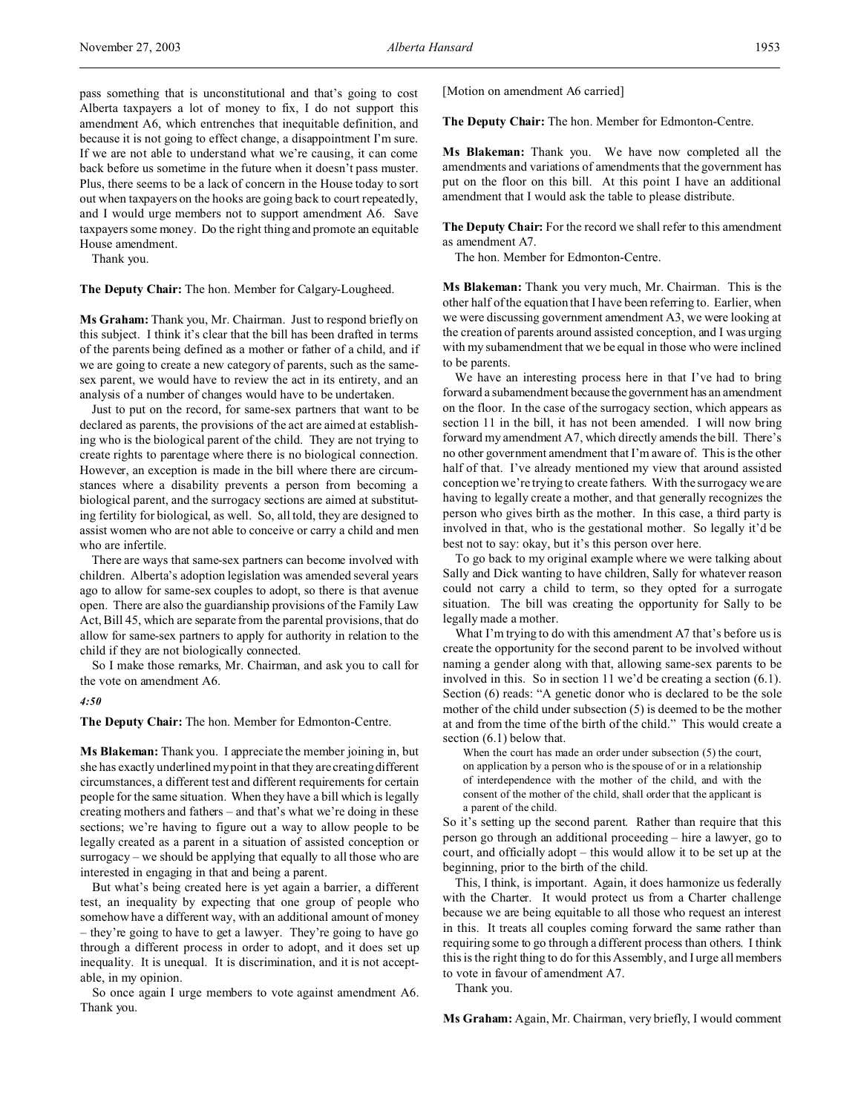pass something that is unconstitutional and that's going to cost Alberta taxpayers a lot of money to fix, I do not support this amendment A6, which entrenches that inequitable definition, and because it is not going to effect change, a disappointment I'm sure. If we are not able to understand what we're causing, it can come back before us sometime in the future when it doesn't pass muster. Plus, there seems to be a lack of concern in the House today to sort out when taxpayers on the hooks are going back to court repeatedly, and I would urge members not to support amendment A6. Save taxpayers some money. Do the right thing and promote an equitable House amendment.

Thank you.

**The Deputy Chair:** The hon. Member for Calgary-Lougheed.

**Ms Graham:** Thank you, Mr. Chairman. Just to respond briefly on this subject. I think it's clear that the bill has been drafted in terms of the parents being defined as a mother or father of a child, and if we are going to create a new category of parents, such as the samesex parent, we would have to review the act in its entirety, and an analysis of a number of changes would have to be undertaken.

Just to put on the record, for same-sex partners that want to be declared as parents, the provisions of the act are aimed at establishing who is the biological parent of the child. They are not trying to create rights to parentage where there is no biological connection. However, an exception is made in the bill where there are circumstances where a disability prevents a person from becoming a biological parent, and the surrogacy sections are aimed at substituting fertility for biological, as well. So, all told, they are designed to assist women who are not able to conceive or carry a child and men who are infertile.

There are ways that same-sex partners can become involved with children. Alberta's adoption legislation was amended several years ago to allow for same-sex couples to adopt, so there is that avenue open. There are also the guardianship provisions of the Family Law Act, Bill 45, which are separate from the parental provisions, that do allow for same-sex partners to apply for authority in relation to the child if they are not biologically connected.

So I make those remarks, Mr. Chairman, and ask you to call for the vote on amendment A6.

*4:50*

**The Deputy Chair:** The hon. Member for Edmonton-Centre.

**Ms Blakeman:** Thank you. I appreciate the member joining in, but she has exactly underlined my point in that they are creating different circumstances, a different test and different requirements for certain people for the same situation. When they have a bill which is legally creating mothers and fathers – and that's what we're doing in these sections; we're having to figure out a way to allow people to be legally created as a parent in a situation of assisted conception or surrogacy – we should be applying that equally to all those who are interested in engaging in that and being a parent.

But what's being created here is yet again a barrier, a different test, an inequality by expecting that one group of people who somehow have a different way, with an additional amount of money – they're going to have to get a lawyer. They're going to have go through a different process in order to adopt, and it does set up inequality. It is unequal. It is discrimination, and it is not acceptable, in my opinion.

So once again I urge members to vote against amendment A6. Thank you.

[Motion on amendment A6 carried]

**The Deputy Chair:** The hon. Member for Edmonton-Centre.

**Ms Blakeman:** Thank you. We have now completed all the amendments and variations of amendments that the government has put on the floor on this bill. At this point I have an additional amendment that I would ask the table to please distribute.

**The Deputy Chair:** For the record we shall refer to this amendment as amendment A7.

The hon. Member for Edmonton-Centre.

**Ms Blakeman:** Thank you very much, Mr. Chairman. This is the other half of the equation that I have been referring to. Earlier, when we were discussing government amendment A3, we were looking at the creation of parents around assisted conception, and I was urging with my subamendment that we be equal in those who were inclined to be parents.

We have an interesting process here in that I've had to bring forward a subamendment because thegovernment has an amendment on the floor. In the case of the surrogacy section, which appears as section 11 in the bill, it has not been amended. I will now bring forward my amendment A7, which directly amends the bill. There's no other government amendment that I'm aware of. This is the other half of that. I've already mentioned my view that around assisted conception we're trying to create fathers. With the surrogacy we are having to legally create a mother, and that generally recognizes the person who gives birth as the mother. In this case, a third party is involved in that, who is the gestational mother. So legally it'd be best not to say: okay, but it's this person over here.

To go back to my original example where we were talking about Sally and Dick wanting to have children, Sally for whatever reason could not carry a child to term, so they opted for a surrogate situation. The bill was creating the opportunity for Sally to be legally made a mother.

What I'm trying to do with this amendment A7 that's before us is create the opportunity for the second parent to be involved without naming a gender along with that, allowing same-sex parents to be involved in this. So in section 11 we'd be creating a section (6.1). Section (6) reads: "A genetic donor who is declared to be the sole mother of the child under subsection (5) is deemed to be the mother at and from the time of the birth of the child." This would create a section (6.1) below that.

When the court has made an order under subsection (5) the court, on application by a person who is the spouse of or in a relationship of interdependence with the mother of the child, and with the consent of the mother of the child, shall order that the applicant is a parent of the child.

So it's setting up the second parent. Rather than require that this person go through an additional proceeding – hire a lawyer, go to court, and officially adopt – this would allow it to be set up at the beginning, prior to the birth of the child.

This, I think, is important. Again, it does harmonize us federally with the Charter. It would protect us from a Charter challenge because we are being equitable to all those who request an interest in this. It treats all couples coming forward the same rather than requiring some to go through a different process than others. I think this is the right thing to do for this Assembly, and I urge all members to vote in favour of amendment A7.

Thank you.

**Ms Graham:** Again, Mr. Chairman, very briefly, I would comment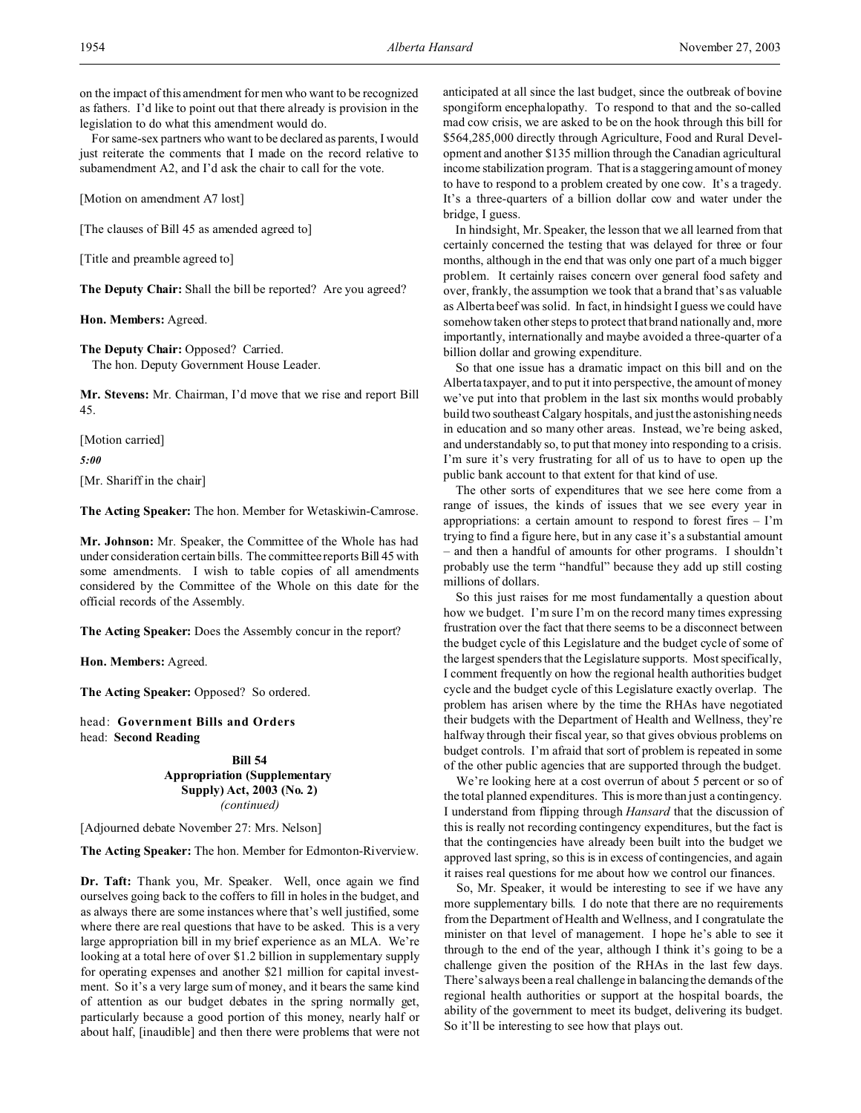on the impact of this amendment for men who want to be recognized as fathers. I'd like to point out that there already is provision in the legislation to do what this amendment would do.

For same-sex partners who want to be declared as parents, I would just reiterate the comments that I made on the record relative to subamendment A2, and I'd ask the chair to call for the vote.

[Motion on amendment A7 lost]

[The clauses of Bill 45 as amended agreed to]

[Title and preamble agreed to]

**The Deputy Chair:** Shall the bill be reported? Are you agreed?

**Hon. Members:** Agreed.

**The Deputy Chair:** Opposed? Carried. The hon. Deputy Government House Leader.

**Mr. Stevens:** Mr. Chairman, I'd move that we rise and report Bill 45.

[Motion carried]

*5:00*

[Mr. Shariff in the chair]

**The Acting Speaker:** The hon. Member for Wetaskiwin-Camrose.

**Mr. Johnson:** Mr. Speaker, the Committee of the Whole has had under consideration certain bills. The committee reports Bill 45 with some amendments. I wish to table copies of all amendments considered by the Committee of the Whole on this date for the official records of the Assembly.

**The Acting Speaker:** Does the Assembly concur in the report?

**Hon. Members:** Agreed.

**The Acting Speaker:** Opposed? So ordered.

head: **Government Bills and Orders** head: **Second Reading**

> **Bill 54 Appropriation (Supplementary Supply) Act, 2003 (No. 2)** *(continued)*

[Adjourned debate November 27: Mrs. Nelson]

**The Acting Speaker:** The hon. Member for Edmonton-Riverview.

**Dr. Taft:** Thank you, Mr. Speaker. Well, once again we find ourselves going back to the coffers to fill in holes in the budget, and as always there are some instances where that's well justified, some where there are real questions that have to be asked. This is a very large appropriation bill in my brief experience as an MLA. We're looking at a total here of over \$1.2 billion in supplementary supply for operating expenses and another \$21 million for capital investment. So it's a very large sum of money, and it bears the same kind of attention as our budget debates in the spring normally get, particularly because a good portion of this money, nearly half or about half, [inaudible] and then there were problems that were not anticipated at all since the last budget, since the outbreak of bovine spongiform encephalopathy. To respond to that and the so-called mad cow crisis, we are asked to be on the hook through this bill for \$564,285,000 directly through Agriculture, Food and Rural Development and another \$135 million through the Canadian agricultural income stabilization program. That is a staggering amount of money to have to respond to a problem created by one cow. It's a tragedy. It's a three-quarters of a billion dollar cow and water under the bridge, I guess.

In hindsight, Mr. Speaker, the lesson that we all learned from that certainly concerned the testing that was delayed for three or four months, although in the end that was only one part of a much bigger problem. It certainly raises concern over general food safety and over, frankly, the assumption we took that a brand that's as valuable as Alberta beef was solid. In fact, in hindsight I guess we could have somehow taken other steps to protect that brand nationally and, more importantly, internationally and maybe avoided a three-quarter of a billion dollar and growing expenditure.

So that one issue has a dramatic impact on this bill and on the Alberta taxpayer, and to put it into perspective, the amount of money we've put into that problem in the last six months would probably build two southeast Calgary hospitals, and just the astonishing needs in education and so many other areas. Instead, we're being asked, and understandably so, to put that money into responding to a crisis. I'm sure it's very frustrating for all of us to have to open up the public bank account to that extent for that kind of use.

The other sorts of expenditures that we see here come from a range of issues, the kinds of issues that we see every year in appropriations: a certain amount to respond to forest fires – I'm trying to find a figure here, but in any case it's a substantial amount – and then a handful of amounts for other programs. I shouldn't probably use the term "handful" because they add up still costing millions of dollars.

So this just raises for me most fundamentally a question about how we budget. I'm sure I'm on the record many times expressing frustration over the fact that there seems to be a disconnect between the budget cycle of this Legislature and the budget cycle of some of the largest spenders that the Legislature supports. Most specifically, I comment frequently on how the regional health authorities budget cycle and the budget cycle of this Legislature exactly overlap. The problem has arisen where by the time the RHAs have negotiated their budgets with the Department of Health and Wellness, they're halfway through their fiscal year, so that gives obvious problems on budget controls. I'm afraid that sort of problem is repeated in some of the other public agencies that are supported through the budget.

We're looking here at a cost overrun of about 5 percent or so of the total planned expenditures. This is more than just a contingency. I understand from flipping through *Hansard* that the discussion of this is really not recording contingency expenditures, but the fact is that the contingencies have already been built into the budget we approved last spring, so this is in excess of contingencies, and again it raises real questions for me about how we control our finances.

So, Mr. Speaker, it would be interesting to see if we have any more supplementary bills. I do note that there are no requirements from the Department of Health and Wellness, and I congratulate the minister on that level of management. I hope he's able to see it through to the end of the year, although I think it's going to be a challenge given the position of the RHAs in the last few days. There's always been a real challenge in balancing the demands of the regional health authorities or support at the hospital boards, the ability of the government to meet its budget, delivering its budget. So it'll be interesting to see how that plays out.